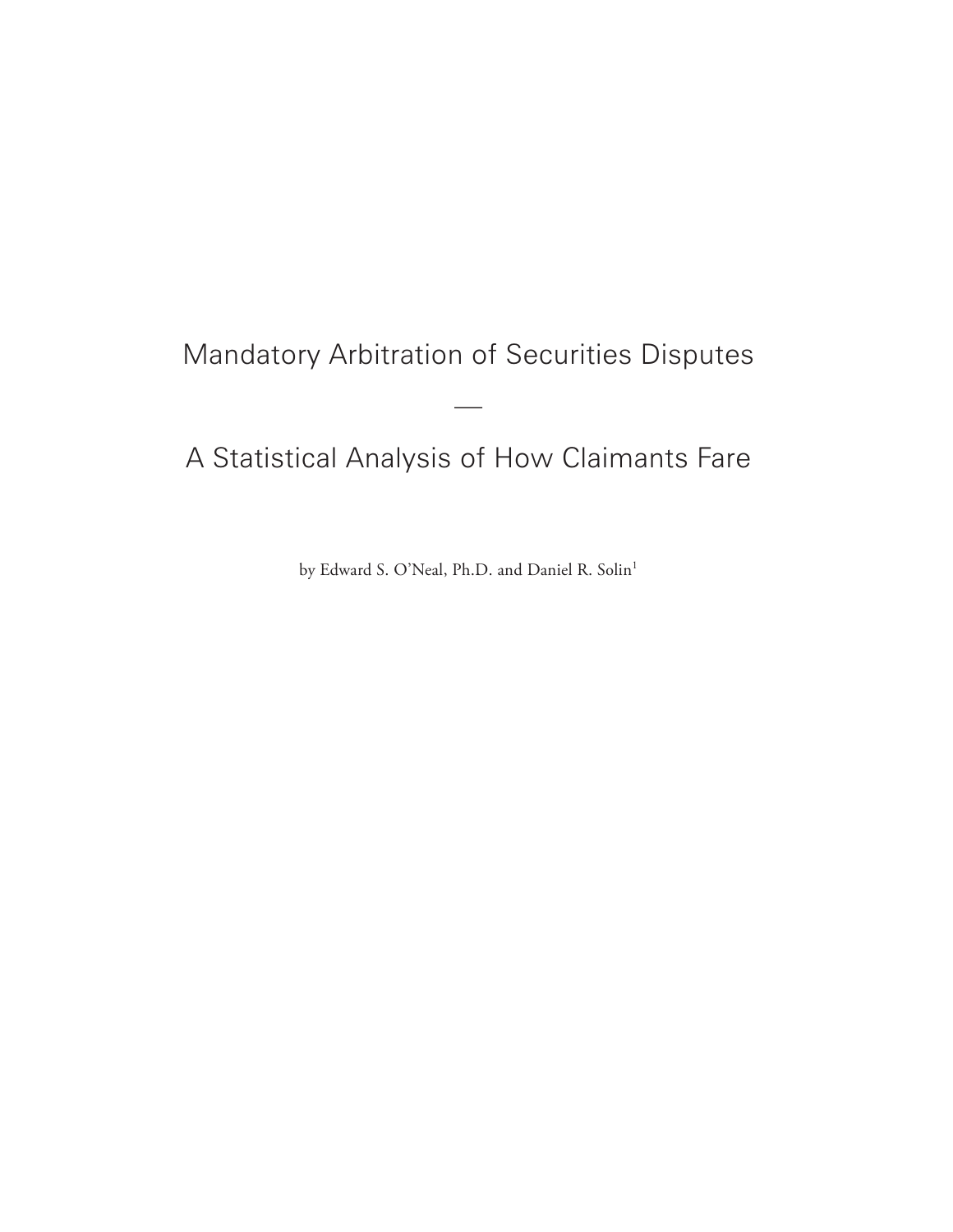# Mandatory Arbitration of Securities Disputes

 $\overline{\phantom{a}}$ 

# A Statistical Analysis of How Claimants Fare

by Edward S. O'Neal, Ph.D. and Daniel R. Solin<sup>1</sup>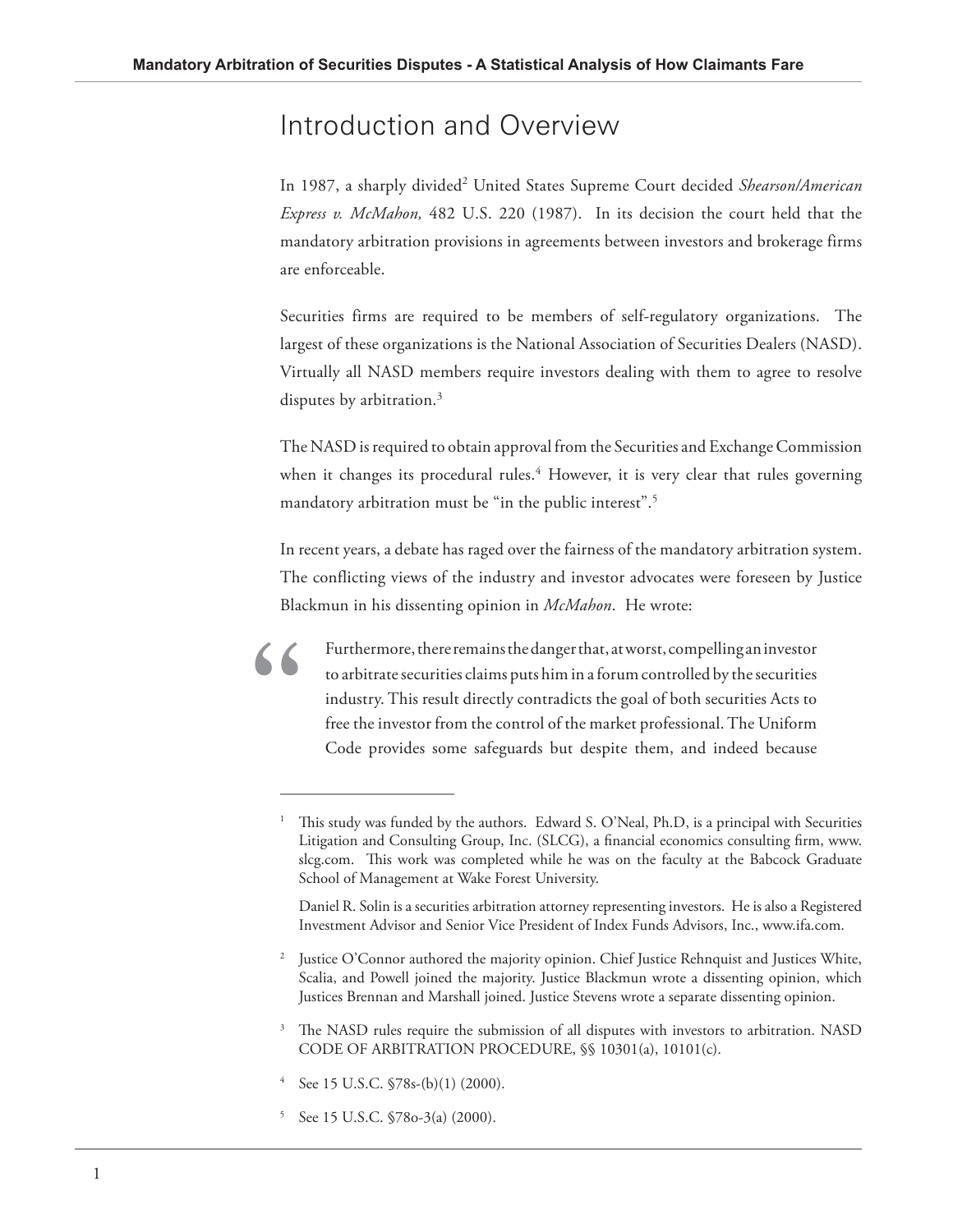### Introduction and Overview

In 1987, a sharply divided<sup>2</sup> United States Supreme Court decided Shearson/American *Express v. McMahon,* 482 U.S. 220 (1987). In its decision the court held that the mandatory arbitration provisions in agreements between investors and brokerage firms are enforceable.

Securities firms are required to be members of self-regulatory organizations. The largest of these organizations is the National Association of Securities Dealers (NASD). Virtually all NASD members require investors dealing with them to agree to resolve disputes by arbitration.<sup>3</sup>

The NASD is required to obtain approval from the Securities and Exchange Commission when it changes its procedural rules.<sup>4</sup> However, it is very clear that rules governing mandatory arbitration must be "in the public interest".<sup>5</sup>

In recent years, a debate has raged over the fairness of the mandatory arbitration system. The conflicting views of the industry and investor advocates were foreseen by Justice Blackmun in his dissenting opinion in *McMahon*. He wrote:

Furthermore, there remains the danger that, at worst, compelling an investor to arbitrate securities claims puts him in a forum controlled by the securities industry. This result directly contradicts the goal of both securities Acts to free the investor from the control of the market professional. The Uniform Code provides some safeguards but despite them, and indeed because

- 3 The NASD rules require the submission of all disputes with investors to arbitration. NASD CODE OF ARBITRATION PROCEDURE, §§ 10301(a), 10101(c).
- 4 See 15 U.S.C. §78s-(b)(1) (2000).

**"**

5 See 15 U.S.C. §78o-3(a) (2000).

<sup>1</sup> This study was funded by the authors. Edward S. O'Neal, Ph.D, is a principal with Securities Litigation and Consulting Group, Inc. (SLCG), a financial economics consulting firm, www. slcg.com. This work was completed while he was on the faculty at the Babcock Graduate School of Management at Wake Forest University.

Daniel R. Solin is a securities arbitration attorney representing investors. He is also a Registered Investment Advisor and Senior Vice President of Index Funds Advisors, Inc., www.ifa.com.

<sup>2</sup> Justice O'Connor authored the majority opinion. Chief Justice Rehnquist and Justices White, Scalia, and Powell joined the majority. Justice Blackmun wrote a dissenting opinion, which Justices Brennan and Marshall joined. Justice Stevens wrote a separate dissenting opinion.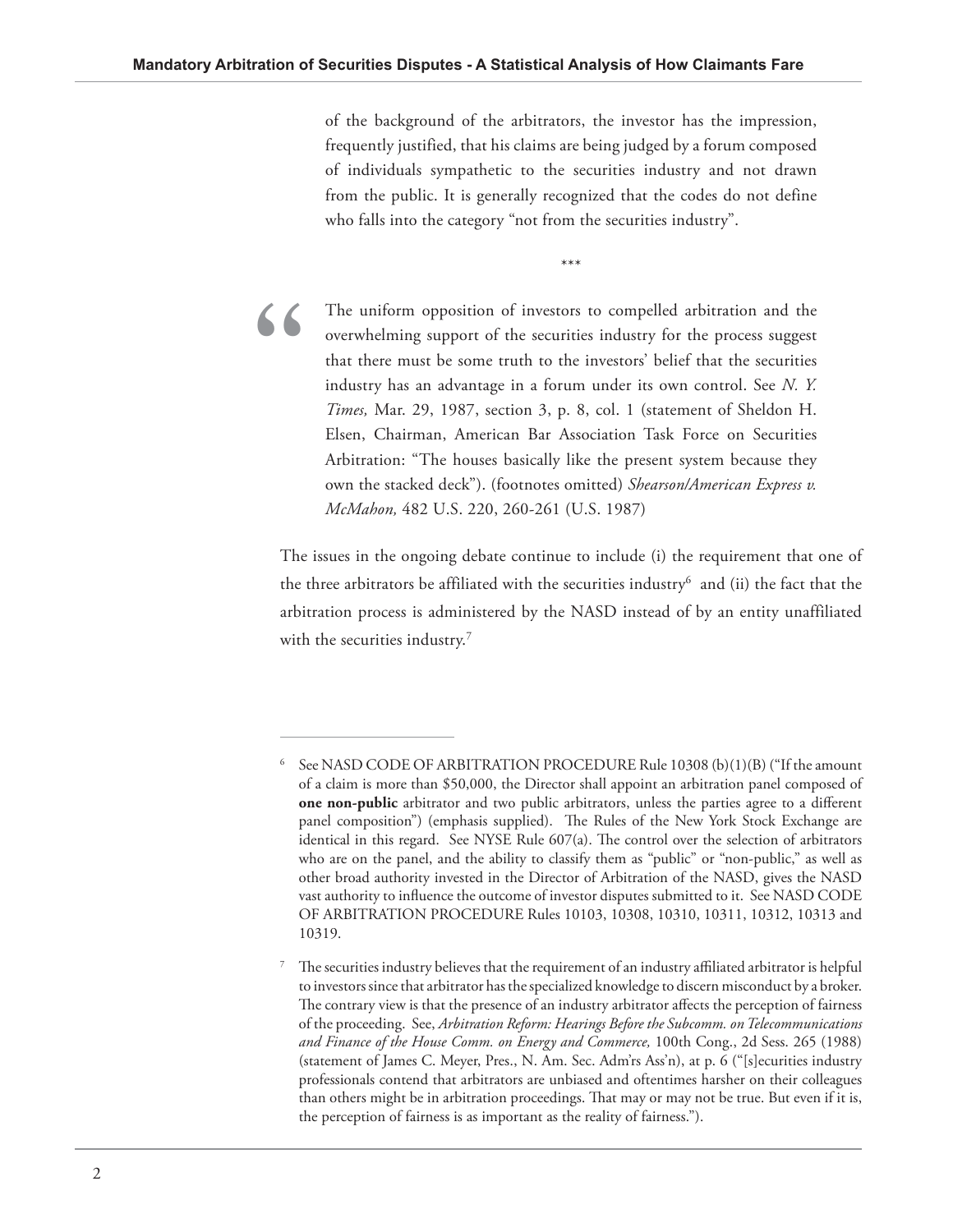of the background of the arbitrators, the investor has the impression, frequently justified, that his claims are being judged by a forum composed of individuals sympathetic to the securities industry and not drawn from the public. It is generally recognized that the codes do not define who falls into the category "not from the securities industry".

\*\*\*



The uniform opposition of investors to compelled arbitration and the overwhelming support of the securities industry for the process suggest that there must be some truth to the investors' belief that the securities industry has an advantage in a forum under its own control. See *N. Y. Times,* Mar. 29, 1987, section 3, p. 8, col. 1 (statement of Sheldon H. Elsen, Chairman, American Bar Association Task Force on Securities Arbitration: "The houses basically like the present system because they own the stacked deck"). (footnotes omitted) *Shearson/American Express v. McMahon,* 482 U.S. 220, 260-261 (U.S. 1987)

The issues in the ongoing debate continue to include (i) the requirement that one of the three arbitrators be affiliated with the securities industry $^6$  and (ii) the fact that the arbitration process is administered by the NASD instead of by an entity unaffiliated with the securities industry. $7$ 

<sup>6</sup> See NASD CODE OF ARBITRATION PROCEDURE Rule 10308 (b)(1)(B) ("If the amount of a claim is more than \$50,000, the Director shall appoint an arbitration panel composed of **one non-public** arbitrator and two public arbitrators, unless the parties agree to a different panel composition") (emphasis supplied). The Rules of the New York Stock Exchange are identical in this regard. See NYSE Rule  $607(a)$ . The control over the selection of arbitrators who are on the panel, and the ability to classify them as "public" or "non-public," as well as other broad authority invested in the Director of Arbitration of the NASD, gives the NASD vast authority to influence the outcome of investor disputes submitted to it. See NASD CODE OF ARBITRATION PROCEDURE Rules 10103, 10308, 10310, 10311, 10312, 10313 and 10319.

<sup>7</sup> The securities industry believes that the requirement of an industry affiliated arbitrator is helpful to investors since that arbitrator has the specialized knowledge to discern misconduct by a broker. The contrary view is that the presence of an industry arbitrator affects the perception of fairness of the proceeding. See, *Arbitration Reform: Hearings Before the Subcomm. on Telecommunications and Finance of the House Comm. on Energy and Commerce,* 100th Cong., 2d Sess. 265 (1988) (statement of James C. Meyer, Pres., N. Am. Sec. Adm'rs Ass'n), at p. 6 ("[s]ecurities industry professionals contend that arbitrators are unbiased and oftentimes harsher on their colleagues than others might be in arbitration proceedings. That may or may not be true. But even if it is, the perception of fairness is as important as the reality of fairness.").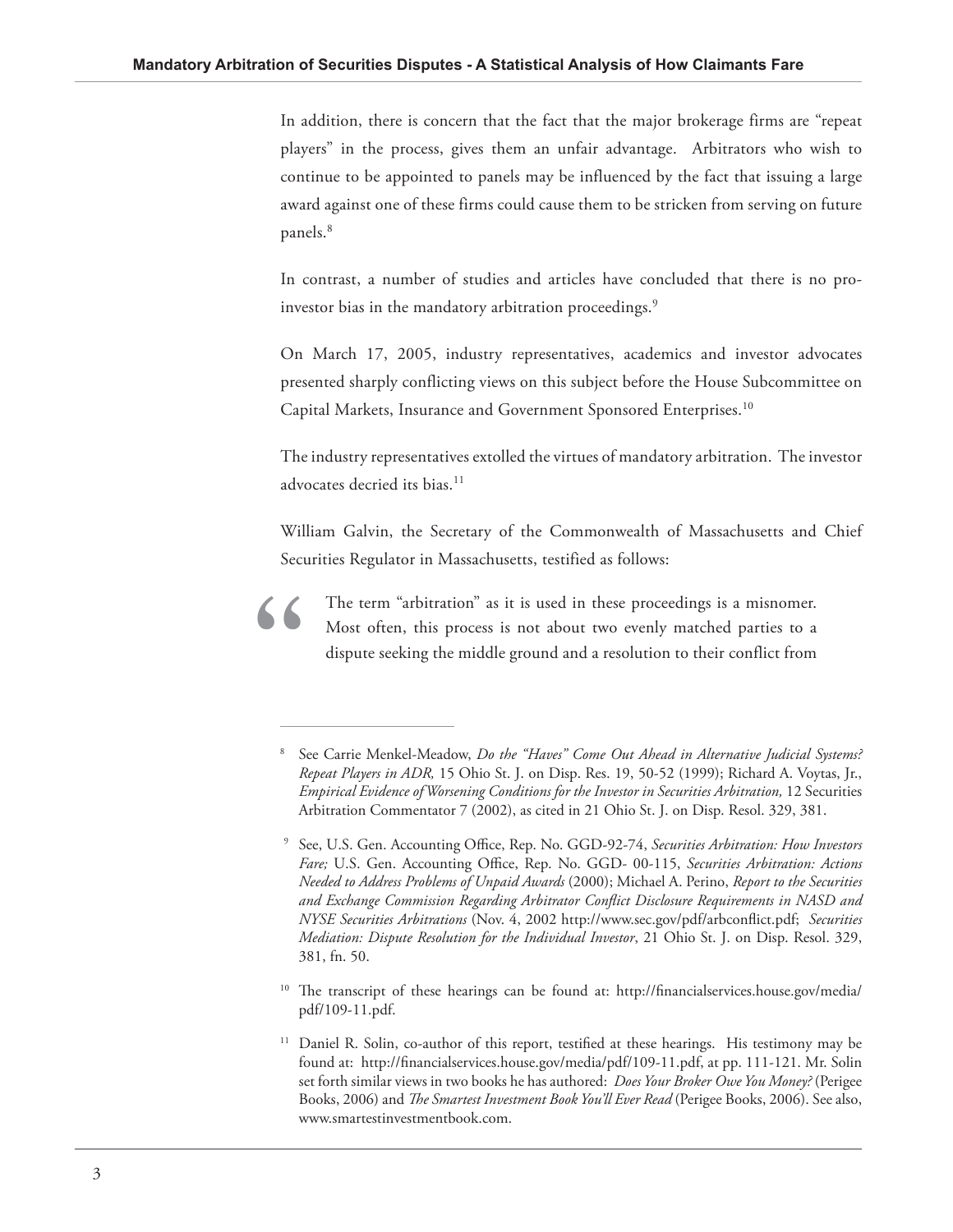In addition, there is concern that the fact that the major brokerage firms are "repeat players" in the process, gives them an unfair advantage. Arbitrators who wish to continue to be appointed to panels may be influenced by the fact that issuing a large award against one of these firms could cause them to be stricken from serving on future panels.<sup>8</sup>

In contrast, a number of studies and articles have concluded that there is no proinvestor bias in the mandatory arbitration proceedings.<sup>9</sup>

On March 17, 2005, industry representatives, academics and investor advocates presented sharply conflicting views on this subject before the House Subcommittee on Capital Markets, Insurance and Government Sponsored Enterprises.<sup>10</sup>

The industry representatives extolled the virtues of mandatory arbitration. The investor advocates decried its bias.<sup>11</sup>

William Galvin, the Secretary of the Commonwealth of Massachusetts and Chief Securities Regulator in Massachusetts, testified as follows:



The term "arbitration" as it is used in these proceedings is a misnomer. Most often, this process is not about two evenly matched parties to a dispute seeking the middle ground and a resolution to their conflict from

 $10$  The transcript of these hearings can be found at: http://financialservices.house.gov/media/ pdf/109-11.pdf.

<sup>8</sup> See Carrie Menkel-Meadow, *Do the "Haves" Come Out Ahead in Alternative Judicial Systems? Repeat Players in ADR,* 15 Ohio St. J. on Disp. Res. 19, 50-52 (1999); Richard A. Voytas, Jr., *Empirical Evidence of Worsening Conditions for the Investor in Securities Arbitration,* 12 Securities Arbitration Commentator 7 (2002), as cited in 21 Ohio St. J. on Disp. Resol. 329, 381.

<sup>&</sup>lt;sup>9</sup> See, U.S. Gen. Accounting Office, Rep. No. GGD-92-74, Securities Arbitration: How Investors Fare; U.S. Gen. Accounting Office, Rep. No. GGD- 00-115, Securities Arbitration: Actions *Needed to Address Problems of Unpaid Awards* (2000); Michael A. Perino, *Report to the Securities*  and Exchange Commission Regarding Arbitrator Conflict Disclosure Requirements in NASD and *NYSE Securities Arbitrations* (Nov. 4, 2002 http://www.sec.gov/pdf/arbconflict.pdf; *Securities Mediation: Dispute Resolution for the Individual Investor*, 21 Ohio St. J. on Disp. Resol. 329, 381, fn. 50.

<sup>&</sup>lt;sup>11</sup> Daniel R. Solin, co-author of this report, testified at these hearings. His testimony may be found at: http://financialservices.house.gov/media/pdf/109-11.pdf, at pp. 111-121. Mr. Solin set forth similar views in two books he has authored: *Does Your Broker Owe You Money?* (Perigee Books, 2006) and *The Smartest Investment Book You'll Ever Read* (Perigee Books, 2006). See also, www.smartestinvestmentbook.com.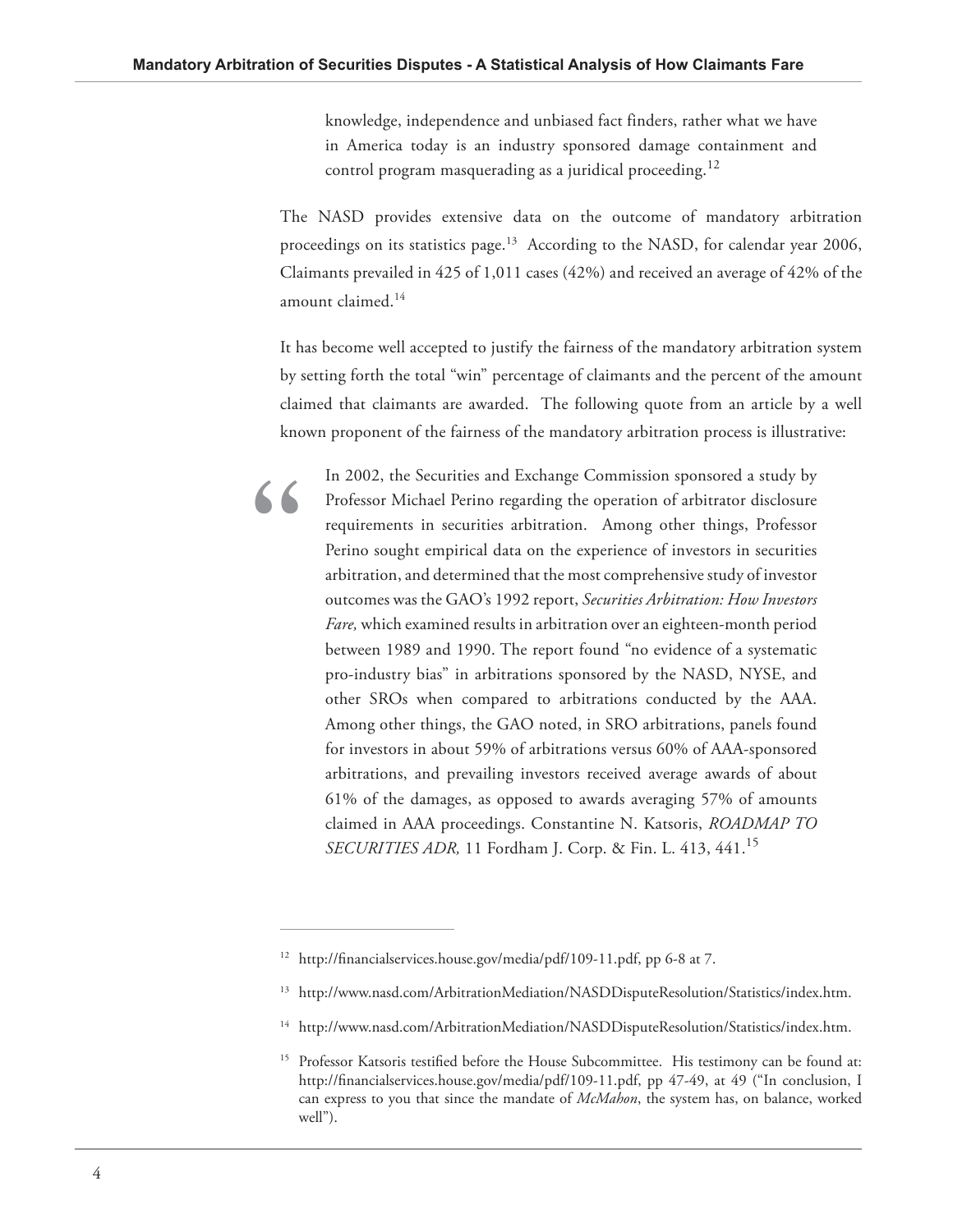**"**

knowledge, independence and unbiased fact finders, rather what we have in America today is an industry sponsored damage containment and control program masquerading as a juridical proceeding.<sup>12</sup>

The NASD provides extensive data on the outcome of mandatory arbitration proceedings on its statistics page.<sup>13</sup> According to the NASD, for calendar year 2006, Claimants prevailed in 425 of 1,011 cases (42%) and received an average of 42% of the amount claimed.<sup>14</sup>

It has become well accepted to justify the fairness of the mandatory arbitration system by setting forth the total "win" percentage of claimants and the percent of the amount claimed that claimants are awarded. The following quote from an article by a well known proponent of the fairness of the mandatory arbitration process is illustrative:

In 2002, the Securities and Exchange Commission sponsored a study by Professor Michael Perino regarding the operation of arbitrator disclosure requirements in securities arbitration. Among other things, Professor Perino sought empirical data on the experience of investors in securities arbitration, and determined that the most comprehensive study of investor outcomes was the GAO's 1992 report, *Securities Arbitration: How Investors Fare,* which examined results in arbitration over an eighteen-month period between 1989 and 1990. The report found "no evidence of a systematic pro-industry bias" in arbitrations sponsored by the NASD, NYSE, and other SROs when compared to arbitrations conducted by the AAA. Among other things, the GAO noted, in SRO arbitrations, panels found for investors in about 59% of arbitrations versus 60% of AAA-sponsored arbitrations, and prevailing investors received average awards of about 61% of the damages, as opposed to awards averaging 57% of amounts claimed in AAA proceedings. Constantine N. Katsoris, *ROADMAP TO SECURITIES ADR,* 11 Fordham J. Corp. & Fin. L. 413, 441.<sup>15</sup>

<sup>&</sup>lt;sup>12</sup> http://financialservices.house.gov/media/pdf/109-11.pdf, pp 6-8 at 7.

<sup>13</sup> http://www.nasd.com/ArbitrationMediation/NASDDisputeResolution/Statistics/index.htm.

<sup>&</sup>lt;sup>14</sup> http://www.nasd.com/ArbitrationMediation/NASDDisputeResolution/Statistics/index.htm.

<sup>&</sup>lt;sup>15</sup> Professor Katsoris testified before the House Subcommittee. His testimony can be found at: http://financialservices.house.gov/media/pdf/109-11.pdf, pp 47-49, at 49 ("In conclusion, I can express to you that since the mandate of *McMahon*, the system has, on balance, worked well").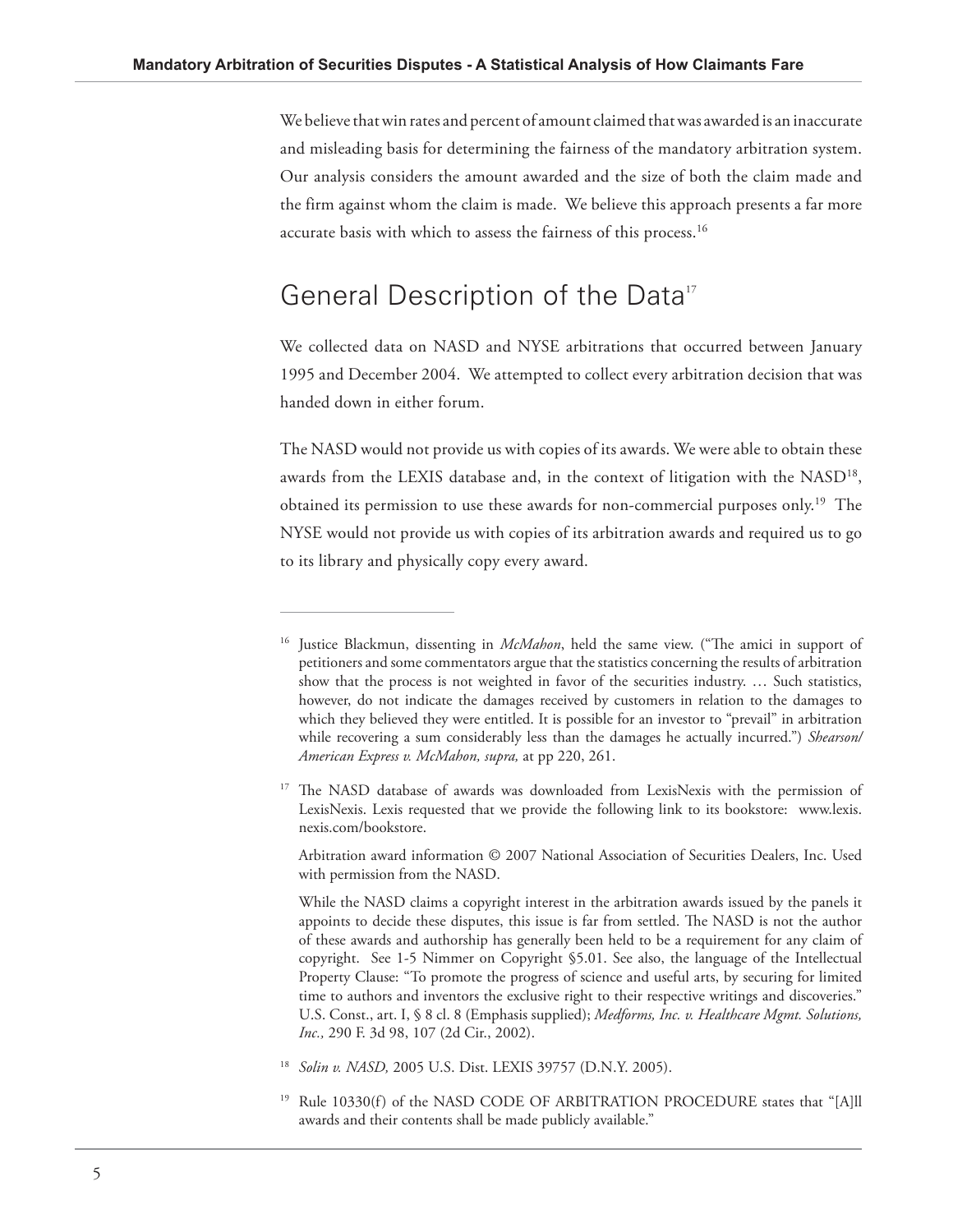We believe that win rates and percent of amount claimed that was awarded is an inaccurate and misleading basis for determining the fairness of the mandatory arbitration system. Our analysis considers the amount awarded and the size of both the claim made and the firm against whom the claim is made. We believe this approach presents a far more accurate basis with which to assess the fairness of this process.<sup>16</sup>

## General Description of the Data<sup>17</sup>

We collected data on NASD and NYSE arbitrations that occurred between January 1995 and December 2004. We attempted to collect every arbitration decision that was handed down in either forum.

The NASD would not provide us with copies of its awards. We were able to obtain these awards from the LEXIS database and, in the context of litigation with the NASD<sup>18</sup>, obtained its permission to use these awards for non-commercial purposes only.19 The NYSE would not provide us with copies of its arbitration awards and required us to go to its library and physically copy every award.

 Arbitration award information © 2007 National Association of Securities Dealers, Inc. Used with permission from the NASD.

<sup>&</sup>lt;sup>16</sup> Justice Blackmun, dissenting in *McMahon*, held the same view. ("The amici in support of petitioners and some commentators argue that the statistics concerning the results of arbitration show that the process is not weighted in favor of the securities industry. … Such statistics, however, do not indicate the damages received by customers in relation to the damages to which they believed they were entitled. It is possible for an investor to "prevail" in arbitration while recovering a sum considerably less than the damages he actually incurred.") *Shearson/ American Express v. McMahon, supra,* at pp 220, 261.

<sup>&</sup>lt;sup>17</sup> The NASD database of awards was downloaded from LexisNexis with the permission of LexisNexis. Lexis requested that we provide the following link to its bookstore: www.lexis. nexis.com/bookstore.

While the NASD claims a copyright interest in the arbitration awards issued by the panels it appoints to decide these disputes, this issue is far from settled. The NASD is not the author of these awards and authorship has generally been held to be a requirement for any claim of copyright. See 1-5 Nimmer on Copyright §5.01. See also, the language of the Intellectual Property Clause: "To promote the progress of science and useful arts, by securing for limited time to authors and inventors the exclusive right to their respective writings and discoveries." U.S. Const., art. I, § 8 cl. 8 (Emphasis supplied); *Medforms, Inc. v. Healthcare Mgmt. Solutions, Inc.,* 290 F. 3d 98, 107 (2d Cir., 2002).

<sup>18</sup> *Solin v. NASD,* 2005 U.S. Dist. LEXIS 39757 (D.N.Y. 2005).

<sup>&</sup>lt;sup>19</sup> Rule 10330(f) of the NASD CODE OF ARBITRATION PROCEDURE states that "[A]ll awards and their contents shall be made publicly available."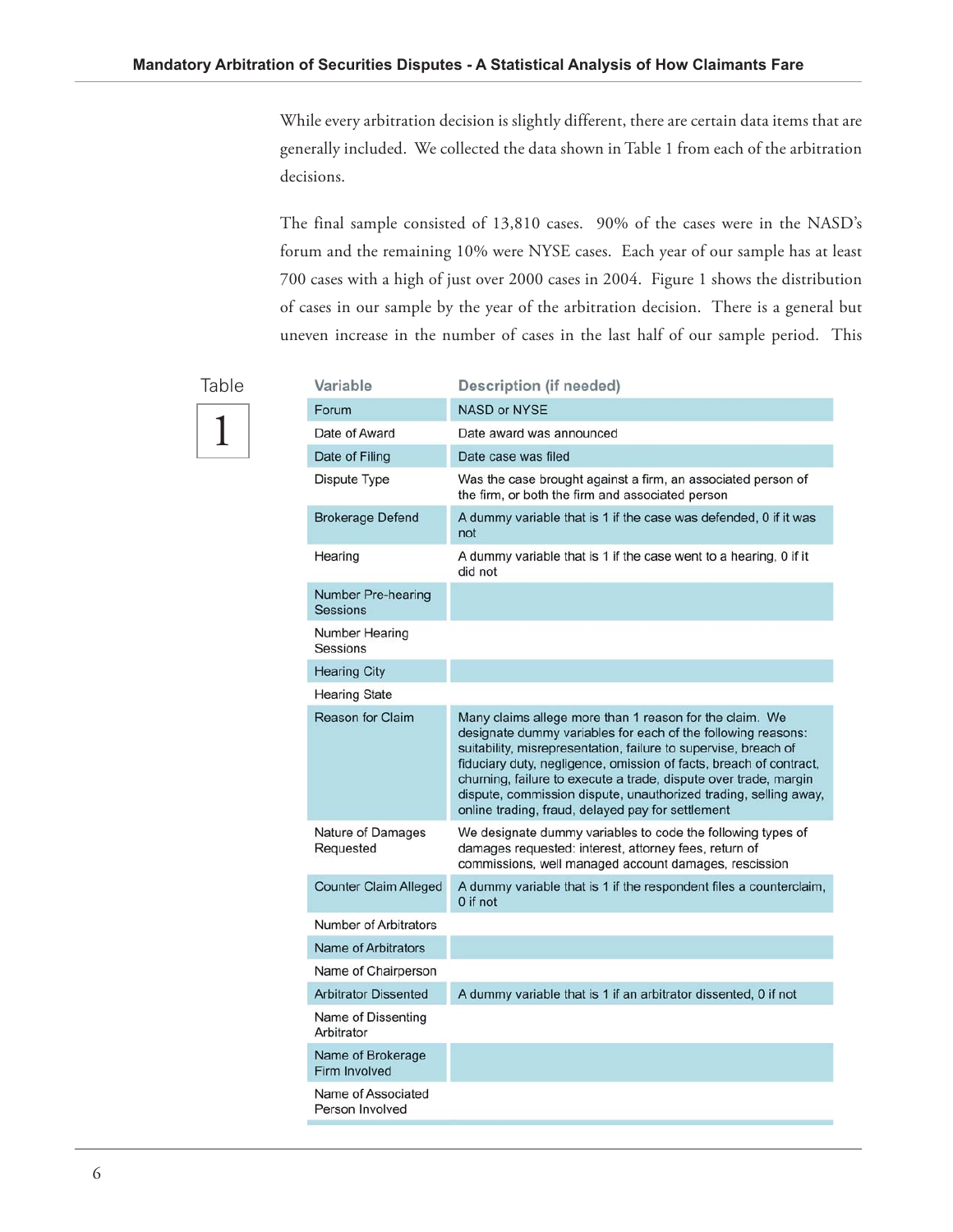While every arbitration decision is slightly different, there are certain data items that are generally included. We collected the data shown in Table 1 from each of the arbitration decisions.

The final sample consisted of 13,810 cases. 90% of the cases were in the NASD's forum and the remaining 10% were NYSE cases. Each year of our sample has at least 700 cases with a high of just over 2000 cases in 2004. Figure 1 shows the distribution of cases in our sample by the year of the arbitration decision. There is a general but uneven increase in the number of cases in the last half of our sample period. This

 $\overline{a}$ 

# 1 Table

| Variable                                     | Description (if needed)                                                                                                                                                                                                                                                                                                                                                                                                                                       |
|----------------------------------------------|---------------------------------------------------------------------------------------------------------------------------------------------------------------------------------------------------------------------------------------------------------------------------------------------------------------------------------------------------------------------------------------------------------------------------------------------------------------|
| Forum                                        | <b>NASD or NYSE</b>                                                                                                                                                                                                                                                                                                                                                                                                                                           |
| Date of Award                                | Date award was announced                                                                                                                                                                                                                                                                                                                                                                                                                                      |
| Date of Filing                               | Date case was filed                                                                                                                                                                                                                                                                                                                                                                                                                                           |
| Dispute Type                                 | Was the case brought against a firm, an associated person of<br>the firm, or both the firm and associated person                                                                                                                                                                                                                                                                                                                                              |
| Brokerage Defend                             | A dummy variable that is 1 if the case was defended, 0 if it was<br>not                                                                                                                                                                                                                                                                                                                                                                                       |
| Hearing                                      | A dummy variable that is 1 if the case went to a hearing, 0 if it<br>did not                                                                                                                                                                                                                                                                                                                                                                                  |
| <b>Number Pre-hearing</b><br><b>Sessions</b> |                                                                                                                                                                                                                                                                                                                                                                                                                                                               |
| Number Hearing<br>Sessions                   |                                                                                                                                                                                                                                                                                                                                                                                                                                                               |
| <b>Hearing City</b>                          |                                                                                                                                                                                                                                                                                                                                                                                                                                                               |
| <b>Hearing State</b>                         |                                                                                                                                                                                                                                                                                                                                                                                                                                                               |
| <b>Reason for Claim</b>                      | Many claims allege more than 1 reason for the claim. We<br>designate dummy variables for each of the following reasons:<br>suitability, misrepresentation, failure to supervise, breach of<br>fiduciary duty, negligence, omission of facts, breach of contract,<br>churning, failure to execute a trade, dispute over trade, margin<br>dispute, commission dispute, unauthorized trading, selling away,<br>online trading, fraud, delayed pay for settlement |
| Nature of Damages<br>Requested               | We designate dummy variables to code the following types of<br>damages requested: interest, attorney fees, return of<br>commissions, well managed account damages, rescission                                                                                                                                                                                                                                                                                 |
| <b>Counter Claim Alleged</b>                 | A dummy variable that is 1 if the respondent files a counterclaim,<br>0 if not                                                                                                                                                                                                                                                                                                                                                                                |
| Number of Arbitrators                        |                                                                                                                                                                                                                                                                                                                                                                                                                                                               |
| <b>Name of Arbitrators</b>                   |                                                                                                                                                                                                                                                                                                                                                                                                                                                               |
| Name of Chairperson                          |                                                                                                                                                                                                                                                                                                                                                                                                                                                               |
| <b>Arbitrator Dissented</b>                  | A dummy variable that is 1 if an arbitrator dissented, 0 if not                                                                                                                                                                                                                                                                                                                                                                                               |
| Name of Dissenting<br>Arbitrator             |                                                                                                                                                                                                                                                                                                                                                                                                                                                               |
| Name of Brokerage<br>Firm Involved           |                                                                                                                                                                                                                                                                                                                                                                                                                                                               |
| Name of Associated<br>Person Involved        |                                                                                                                                                                                                                                                                                                                                                                                                                                                               |
|                                              |                                                                                                                                                                                                                                                                                                                                                                                                                                                               |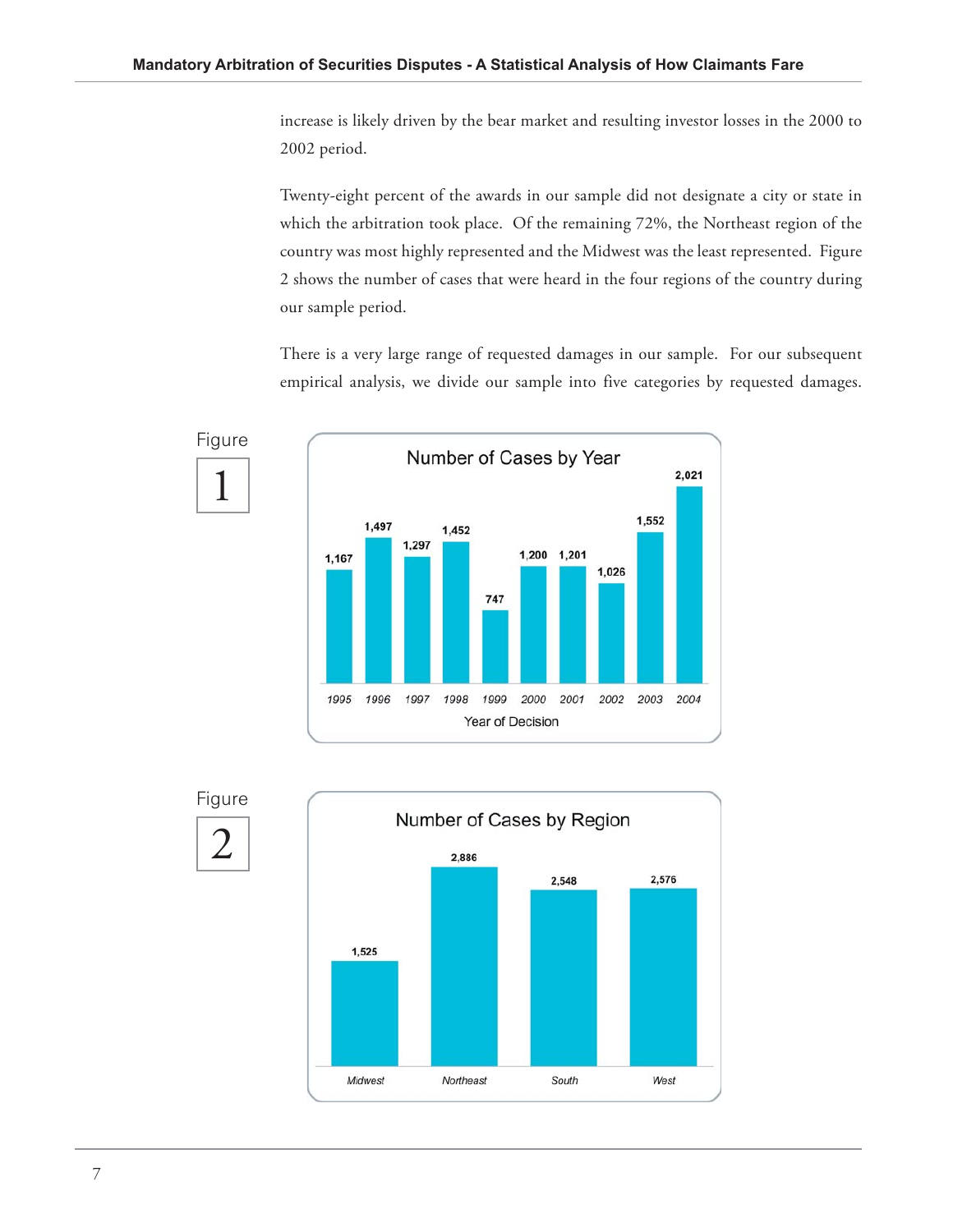increase is likely driven by the bear market and resulting investor losses in the 2000 to 2002 period.

Twenty-eight percent of the awards in our sample did not designate a city or state in which the arbitration took place. Of the remaining 72%, the Northeast region of the country was most highly represented and the Midwest was the least represented. Figure 2 shows the number of cases that were heard in the four regions of the country during our sample period.

There is a very large range of requested damages in our sample. For our subsequent empirical analysis, we divide our sample into five categories by requested damages.





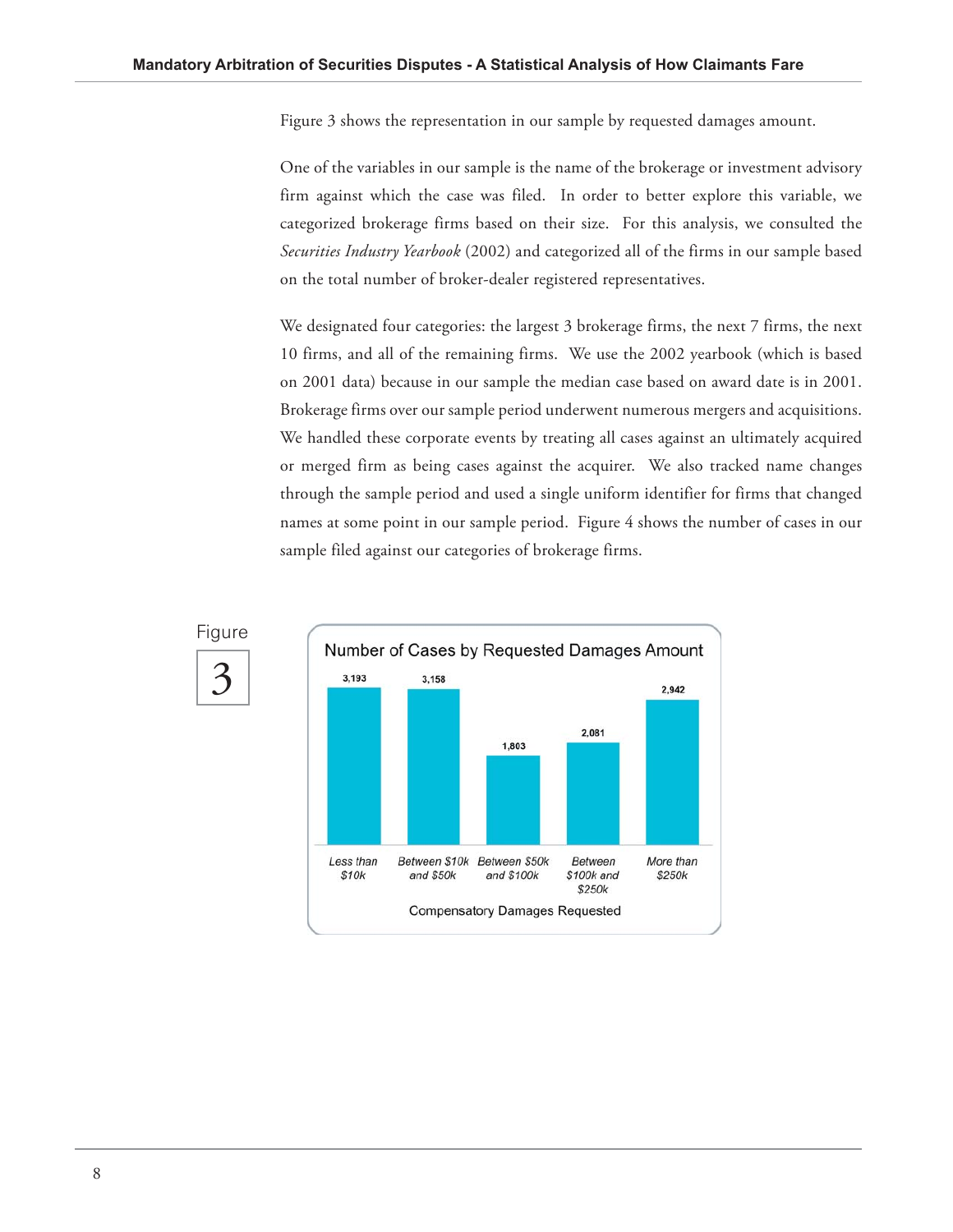Figure 3 shows the representation in our sample by requested damages amount.

One of the variables in our sample is the name of the brokerage or investment advisory firm against which the case was filed. In order to better explore this variable, we categorized brokerage firms based on their size. For this analysis, we consulted the *Securities Industry Yearbook* (2002) and categorized all of the firms in our sample based on the total number of broker-dealer registered representatives.

We designated four categories: the largest 3 brokerage firms, the next 7 firms, the next 10 firms, and all of the remaining firms. We use the 2002 yearbook (which is based on 2001 data) because in our sample the median case based on award date is in 2001. Brokerage firms over our sample period underwent numerous mergers and acquisitions. We handled these corporate events by treating all cases against an ultimately acquired or merged firm as being cases against the acquirer. We also tracked name changes through the sample period and used a single uniform identifier for firms that changed names at some point in our sample period. Figure 4 shows the number of cases in our sample filed against our categories of brokerage firms.



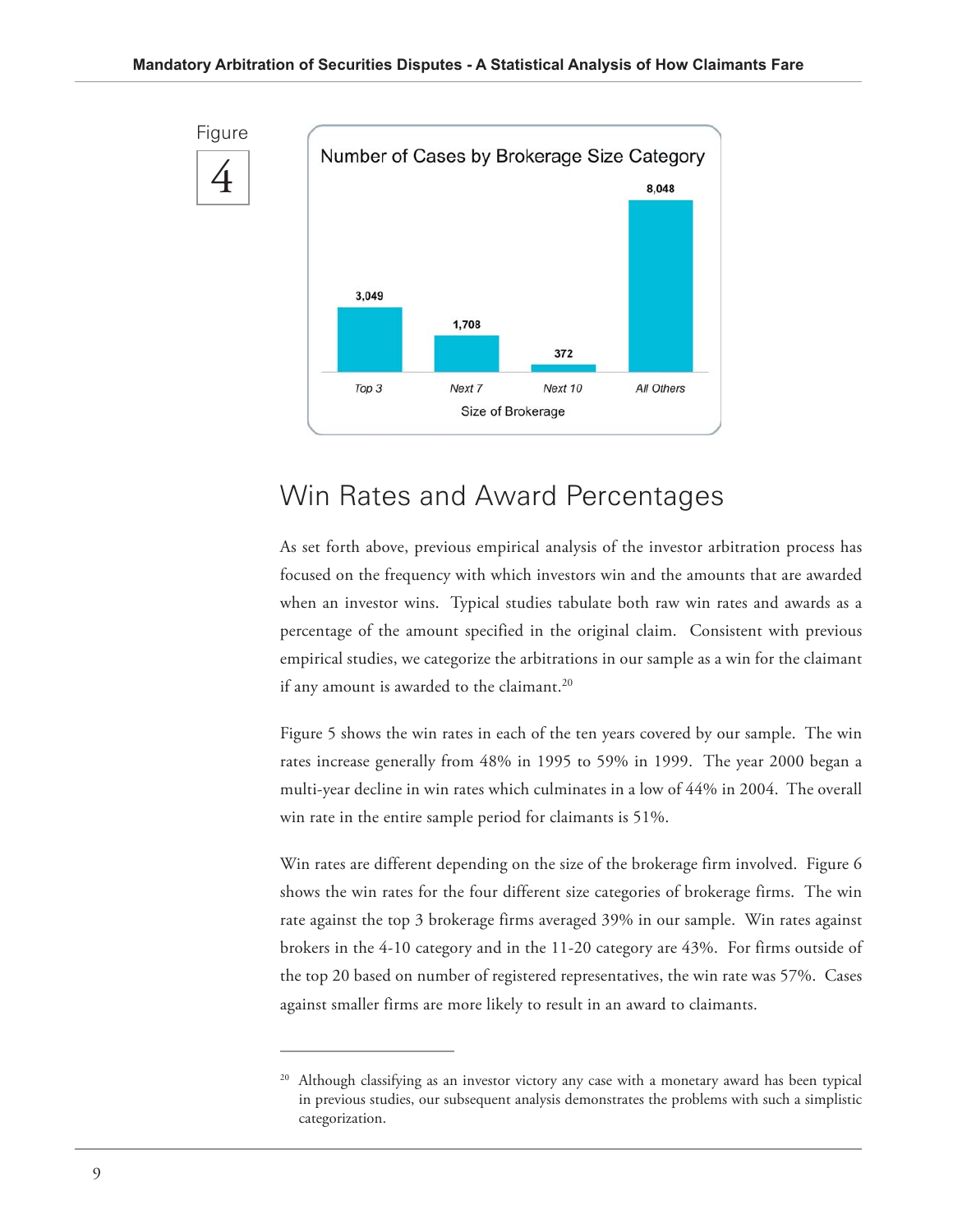

### Win Rates and Award Percentages

As set forth above, previous empirical analysis of the investor arbitration process has focused on the frequency with which investors win and the amounts that are awarded when an investor wins. Typical studies tabulate both raw win rates and awards as a percentage of the amount specified in the original claim. Consistent with previous empirical studies, we categorize the arbitrations in our sample as a win for the claimant if any amount is awarded to the claimant.<sup>20</sup>

Figure 5 shows the win rates in each of the ten years covered by our sample. The win rates increase generally from 48% in 1995 to 59% in 1999. The year 2000 began a multi-year decline in win rates which culminates in a low of 44% in 2004. The overall win rate in the entire sample period for claimants is 51%.

Win rates are different depending on the size of the brokerage firm involved. Figure 6 shows the win rates for the four different size categories of brokerage firms. The win rate against the top 3 brokerage firms averaged 39% in our sample. Win rates against brokers in the 4-10 category and in the 11-20 category are 43%. For firms outside of the top 20 based on number of registered representatives, the win rate was 57%. Cases against smaller firms are more likely to result in an award to claimants.

Although classifying as an investor victory any case with a monetary award has been typical in previous studies, our subsequent analysis demonstrates the problems with such a simplistic categorization.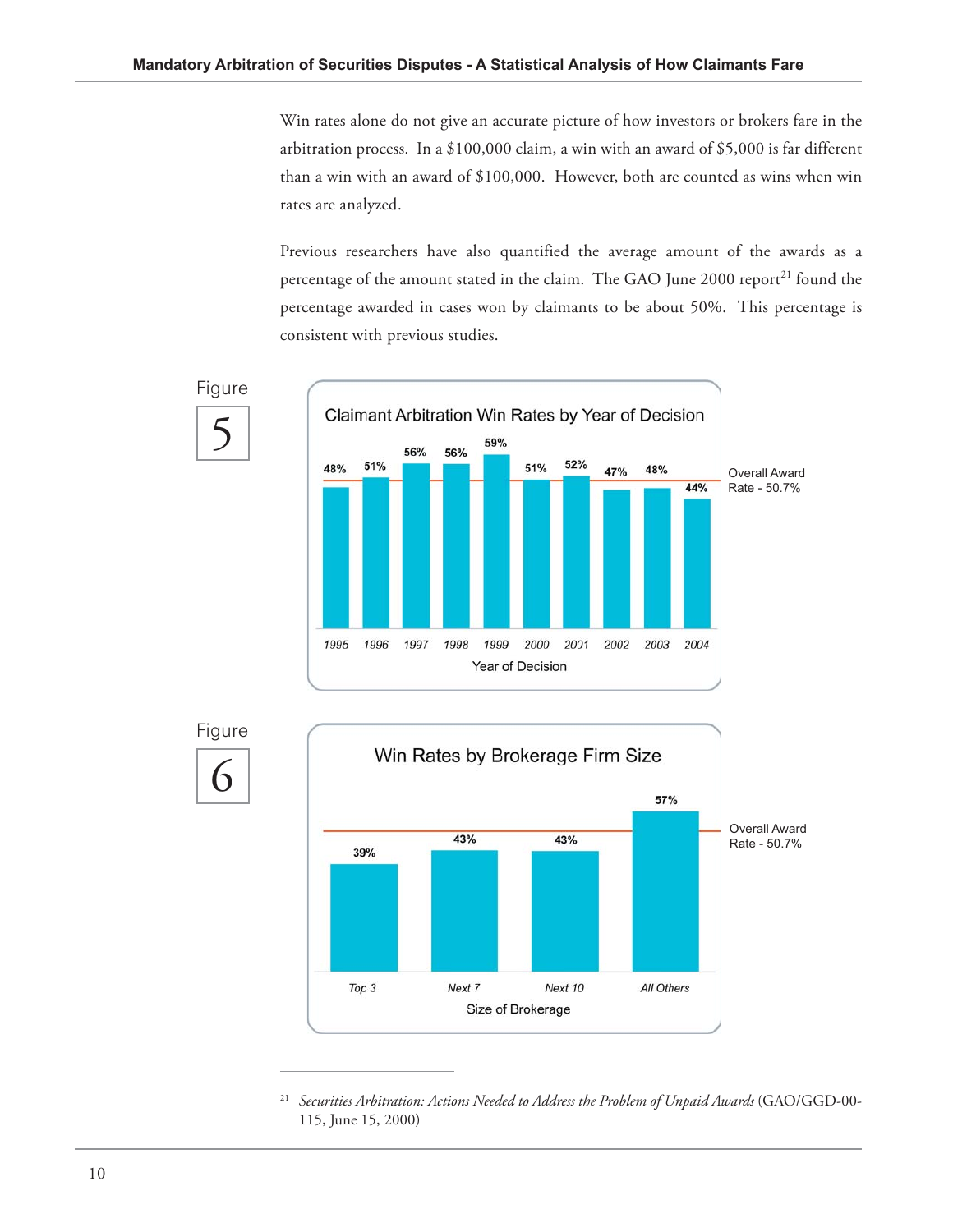Win rates alone do not give an accurate picture of how investors or brokers fare in the arbitration process. In a \$100,000 claim, a win with an award of \$5,000 is far different than a win with an award of \$100,000. However, both are counted as wins when win rates are analyzed.

Previous researchers have also quantified the average amount of the awards as a percentage of the amount stated in the claim. The GAO June 2000 report<sup>21</sup> found the percentage awarded in cases won by claimants to be about 50%. This percentage is consistent with previous studies.







21 *Securities Arbitration: Actions Needed to Address the Problem of Unpaid Awards* (GAO/GGD-00- 115, June 15, 2000)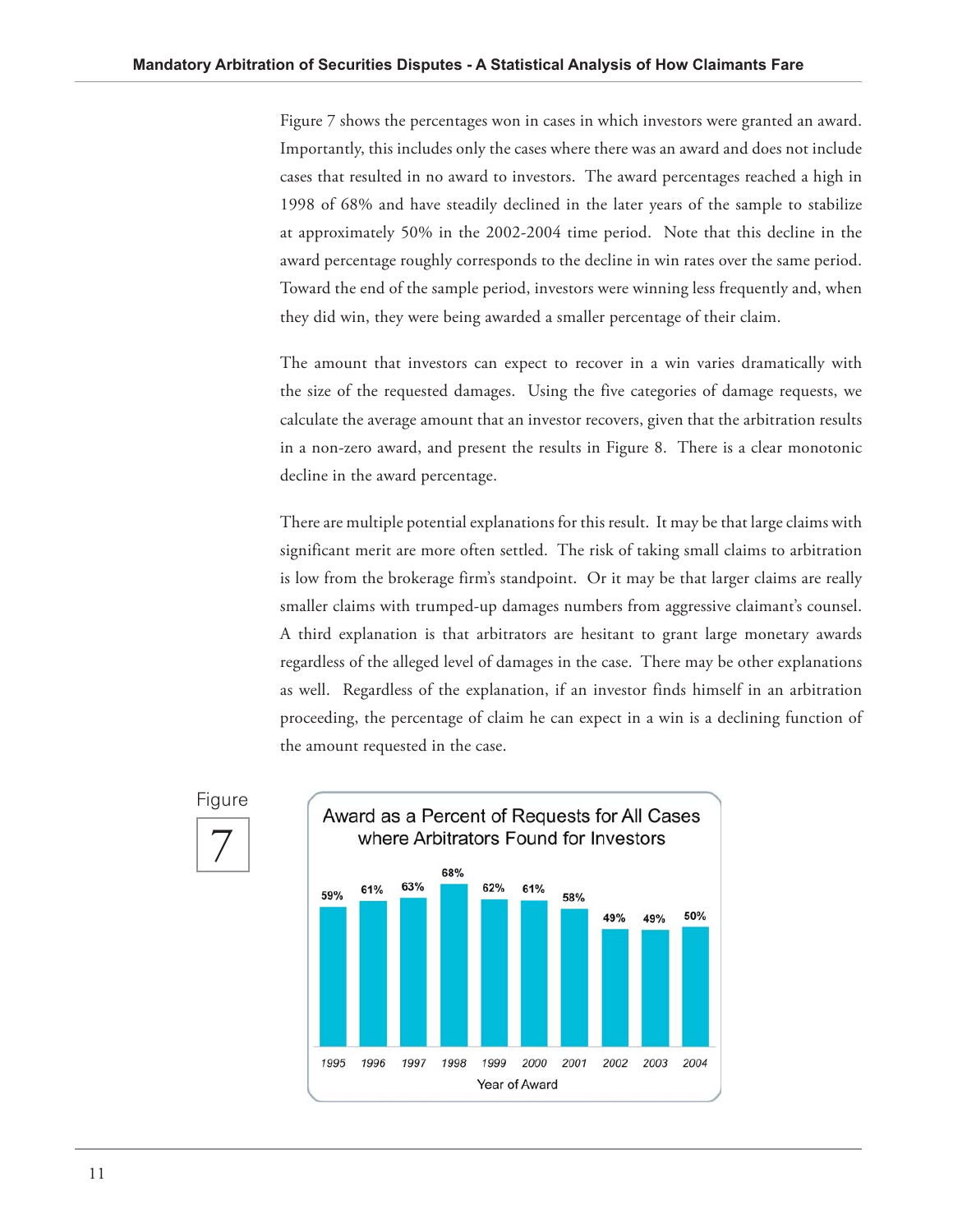Figure 7 shows the percentages won in cases in which investors were granted an award. Importantly, this includes only the cases where there was an award and does not include cases that resulted in no award to investors. The award percentages reached a high in 1998 of 68% and have steadily declined in the later years of the sample to stabilize at approximately 50% in the 2002-2004 time period. Note that this decline in the award percentage roughly corresponds to the decline in win rates over the same period. Toward the end of the sample period, investors were winning less frequently and, when they did win, they were being awarded a smaller percentage of their claim.

The amount that investors can expect to recover in a win varies dramatically with the size of the requested damages. Using the five categories of damage requests, we calculate the average amount that an investor recovers, given that the arbitration results in a non-zero award, and present the results in Figure 8. There is a clear monotonic decline in the award percentage.

There are multiple potential explanations for this result. It may be that large claims with significant merit are more often settled. The risk of taking small claims to arbitration is low from the brokerage firm's standpoint. Or it may be that larger claims are really smaller claims with trumped-up damages numbers from aggressive claimant's counsel. A third explanation is that arbitrators are hesitant to grant large monetary awards regardless of the alleged level of damages in the case. There may be other explanations as well. Regardless of the explanation, if an investor finds himself in an arbitration proceeding, the percentage of claim he can expect in a win is a declining function of the amount requested in the case.



#### Figure

7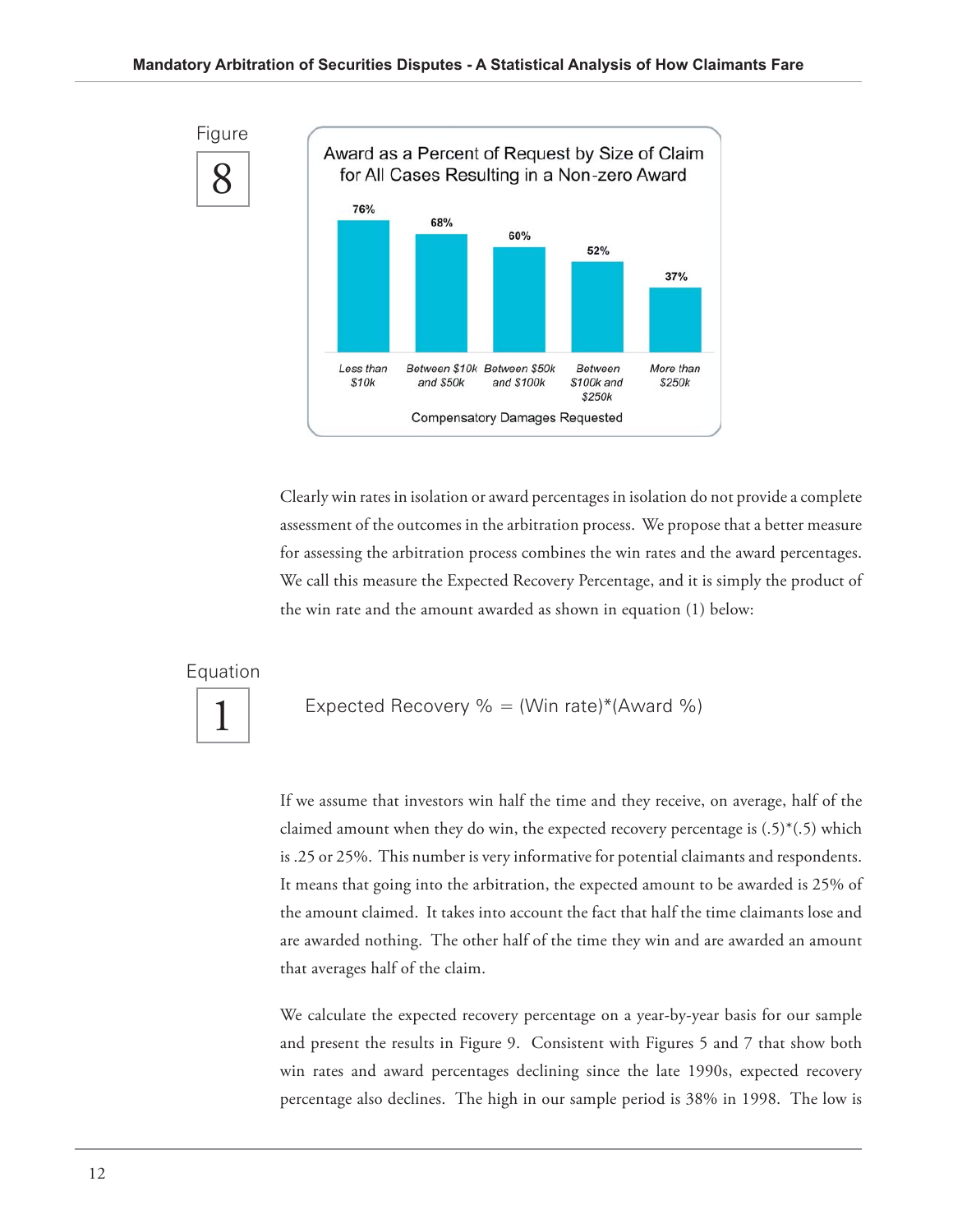8 Figure



Clearly win rates in isolation or award percentages in isolation do not provide a complete assessment of the outcomes in the arbitration process. We propose that a better measure for assessing the arbitration process combines the win rates and the award percentages. We call this measure the Expected Recovery Percentage, and it is simply the product of the win rate and the amount awarded as shown in equation (1) below:

Equation

1

Expected Recovery  $\% = (Win rate)*(Award %)$ 

If we assume that investors win half the time and they receive, on average, half of the claimed amount when they do win, the expected recovery percentage is  $(.5)^*(.5)$  which is .25 or 25%. This number is very informative for potential claimants and respondents. It means that going into the arbitration, the expected amount to be awarded is 25% of the amount claimed. It takes into account the fact that half the time claimants lose and are awarded nothing. The other half of the time they win and are awarded an amount that averages half of the claim.

We calculate the expected recovery percentage on a year-by-year basis for our sample and present the results in Figure 9. Consistent with Figures 5 and 7 that show both win rates and award percentages declining since the late 1990s, expected recovery percentage also declines. The high in our sample period is 38% in 1998. The low is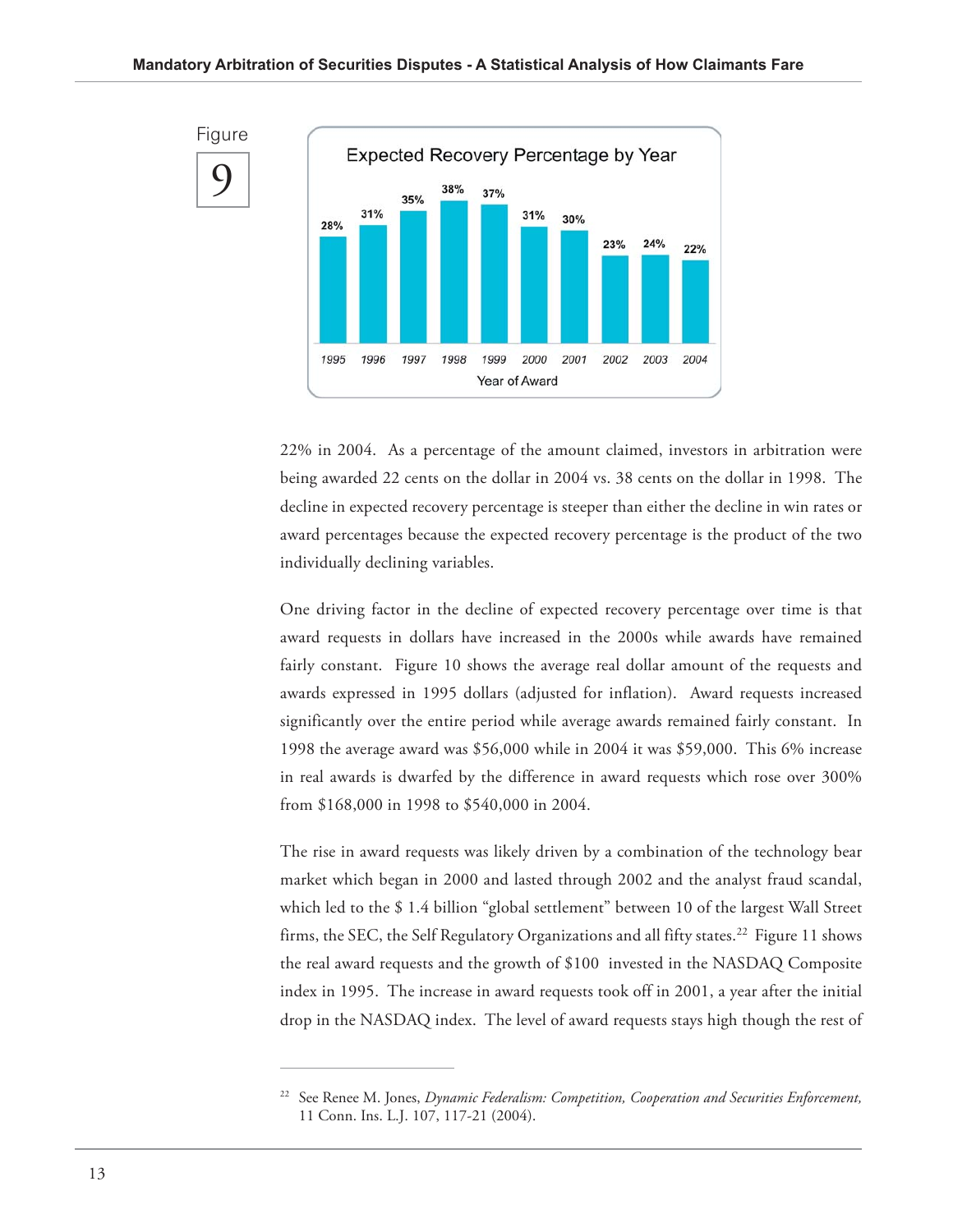

22% in 2004. As a percentage of the amount claimed, investors in arbitration were being awarded 22 cents on the dollar in 2004 vs. 38 cents on the dollar in 1998. The decline in expected recovery percentage is steeper than either the decline in win rates or award percentages because the expected recovery percentage is the product of the two individually declining variables.

One driving factor in the decline of expected recovery percentage over time is that award requests in dollars have increased in the 2000s while awards have remained fairly constant. Figure 10 shows the average real dollar amount of the requests and awards expressed in 1995 dollars (adjusted for inflation). Award requests increased significantly over the entire period while average awards remained fairly constant. In 1998 the average award was \$56,000 while in 2004 it was \$59,000. This 6% increase in real awards is dwarfed by the difference in award requests which rose over 300% from \$168,000 in 1998 to \$540,000 in 2004.

The rise in award requests was likely driven by a combination of the technology bear market which began in 2000 and lasted through 2002 and the analyst fraud scandal, which led to the \$ 1.4 billion "global settlement" between 10 of the largest Wall Street firms, the SEC, the Self Regulatory Organizations and all fifty states.<sup>22</sup> Figure 11 shows the real award requests and the growth of \$100 invested in the NASDAQ Composite index in 1995. The increase in award requests took off in 2001, a year after the initial drop in the NASDAQ index. The level of award requests stays high though the rest of

<sup>22</sup> See Renee M. Jones, *Dynamic Federalism: Competition, Cooperation and Securities Enforcement,* 11 Conn. Ins. L.J. 107, 117-21 (2004).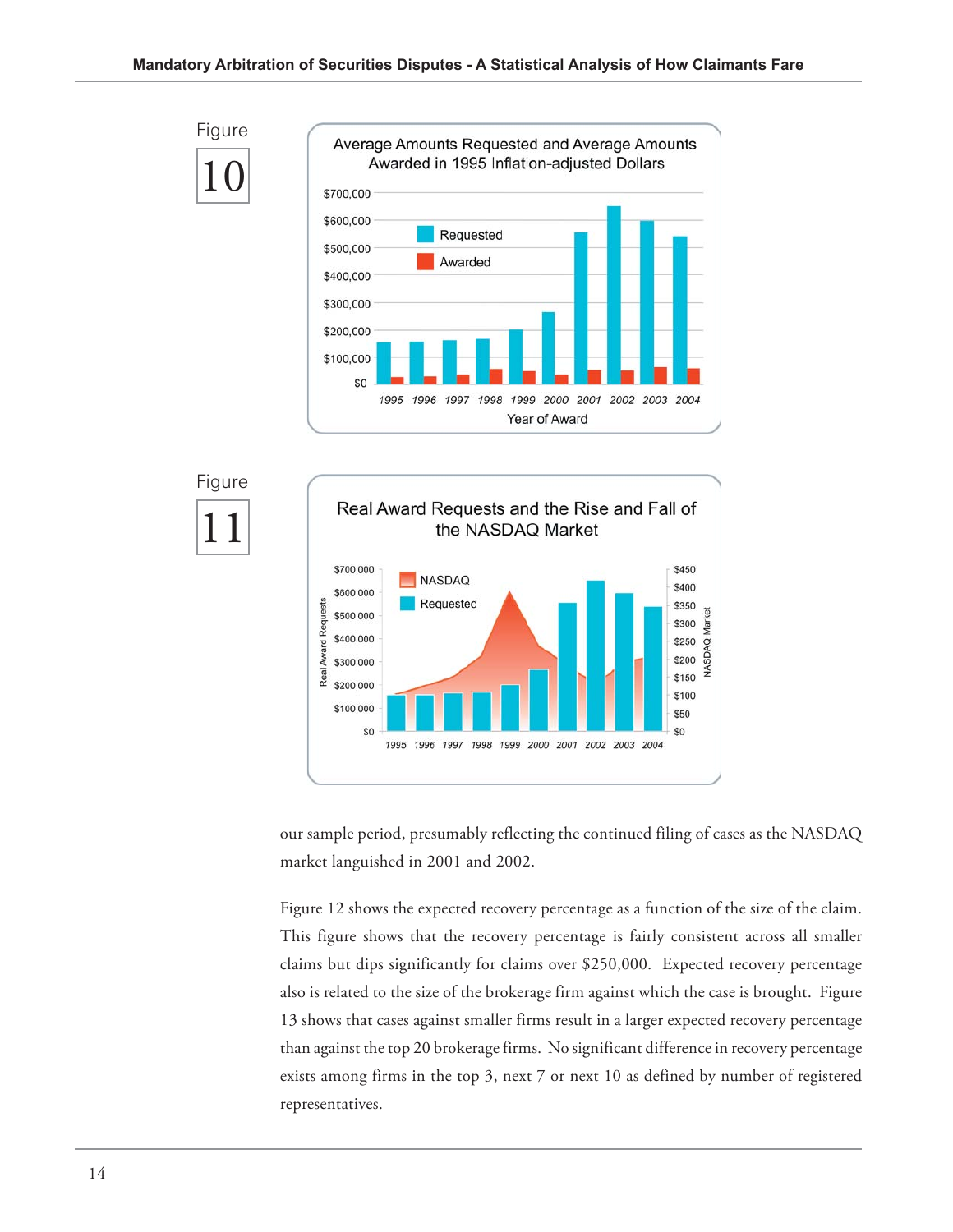



our sample period, presumably reflecting the continued filing of cases as the NASDAQ market languished in 2001 and 2002.

Figure 12 shows the expected recovery percentage as a function of the size of the claim. This figure shows that the recovery percentage is fairly consistent across all smaller claims but dips significantly for claims over \$250,000. Expected recovery percentage also is related to the size of the brokerage firm against which the case is brought. Figure 13 shows that cases against smaller firms result in a larger expected recovery percentage than against the top 20 brokerage firms. No significant difference in recovery percentage exists among firms in the top 3, next 7 or next 10 as defined by number of registered representatives.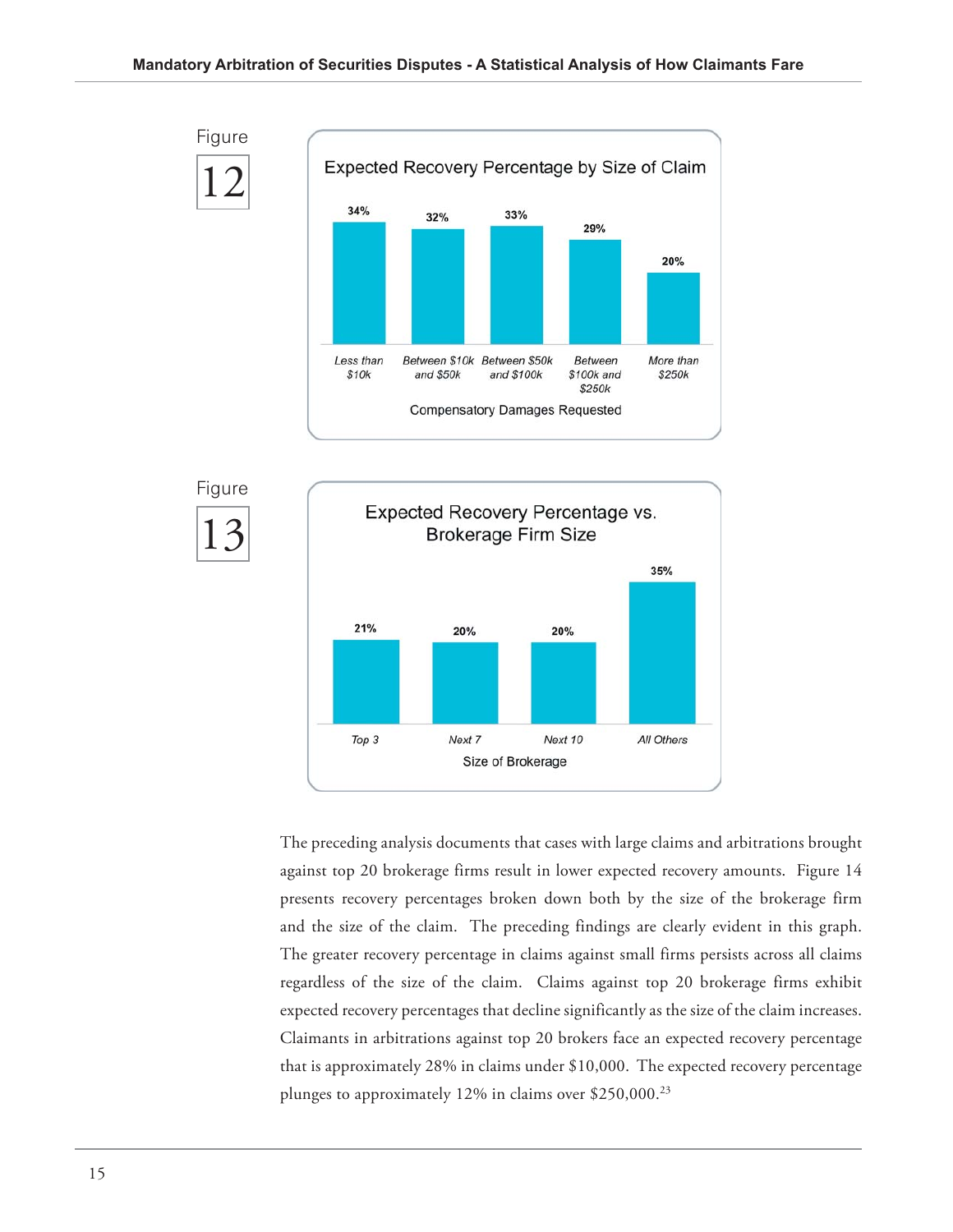





The preceding analysis documents that cases with large claims and arbitrations brought against top 20 brokerage firms result in lower expected recovery amounts. Figure 14 presents recovery percentages broken down both by the size of the brokerage firm and the size of the claim. The preceding findings are clearly evident in this graph. The greater recovery percentage in claims against small firms persists across all claims regardless of the size of the claim. Claims against top 20 brokerage firms exhibit expected recovery percentages that decline significantly as the size of the claim increases. Claimants in arbitrations against top 20 brokers face an expected recovery percentage that is approximately 28% in claims under \$10,000. The expected recovery percentage plunges to approximately 12% in claims over \$250,000.23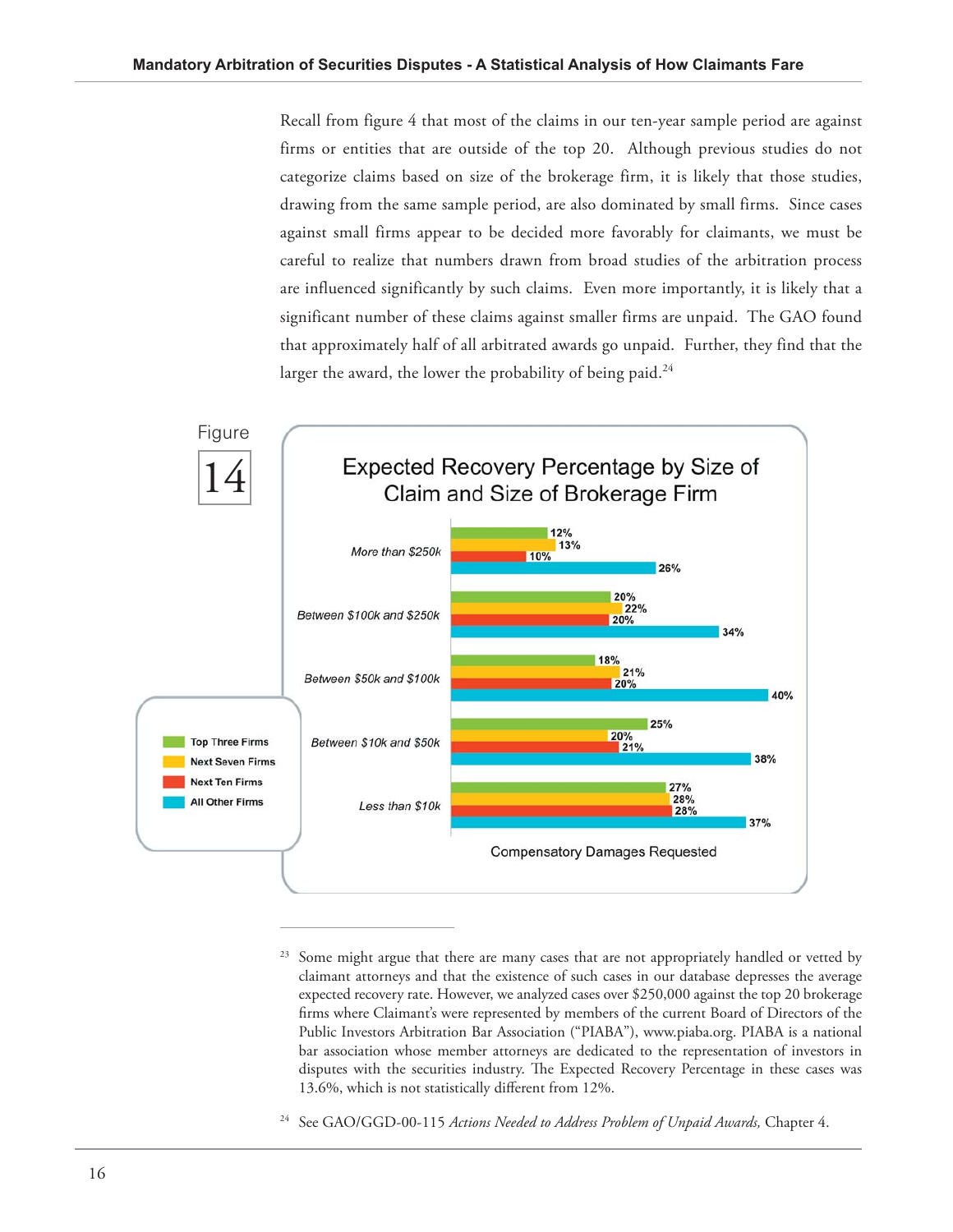Recall from figure 4 that most of the claims in our ten-year sample period are against firms or entities that are outside of the top 20. Although previous studies do not categorize claims based on size of the brokerage firm, it is likely that those studies, drawing from the same sample period, are also dominated by small firms. Since cases against small firms appear to be decided more favorably for claimants, we must be careful to realize that numbers drawn from broad studies of the arbitration process are influenced significantly by such claims. Even more importantly, it is likely that a significant number of these claims against smaller firms are unpaid. The GAO found that approximately half of all arbitrated awards go unpaid. Further, they find that the larger the award, the lower the probability of being paid. $^{24}$ 



Some might argue that there are many cases that are not appropriately handled or vetted by claimant attorneys and that the existence of such cases in our database depresses the average expected recovery rate. However, we analyzed cases over \$250,000 against the top 20 brokerage firms where Claimant's were represented by members of the current Board of Directors of the Public Investors Arbitration Bar Association ("PIABA"), www.piaba.org. PIABA is a national bar association whose member attorneys are dedicated to the representation of investors in disputes with the securities industry. The Expected Recovery Percentage in these cases was 13.6%, which is not statistically different from 12%.

<sup>24</sup> See GAO/GGD-00-115 *Actions Needed to Address Problem of Unpaid Awards,* Chapter 4.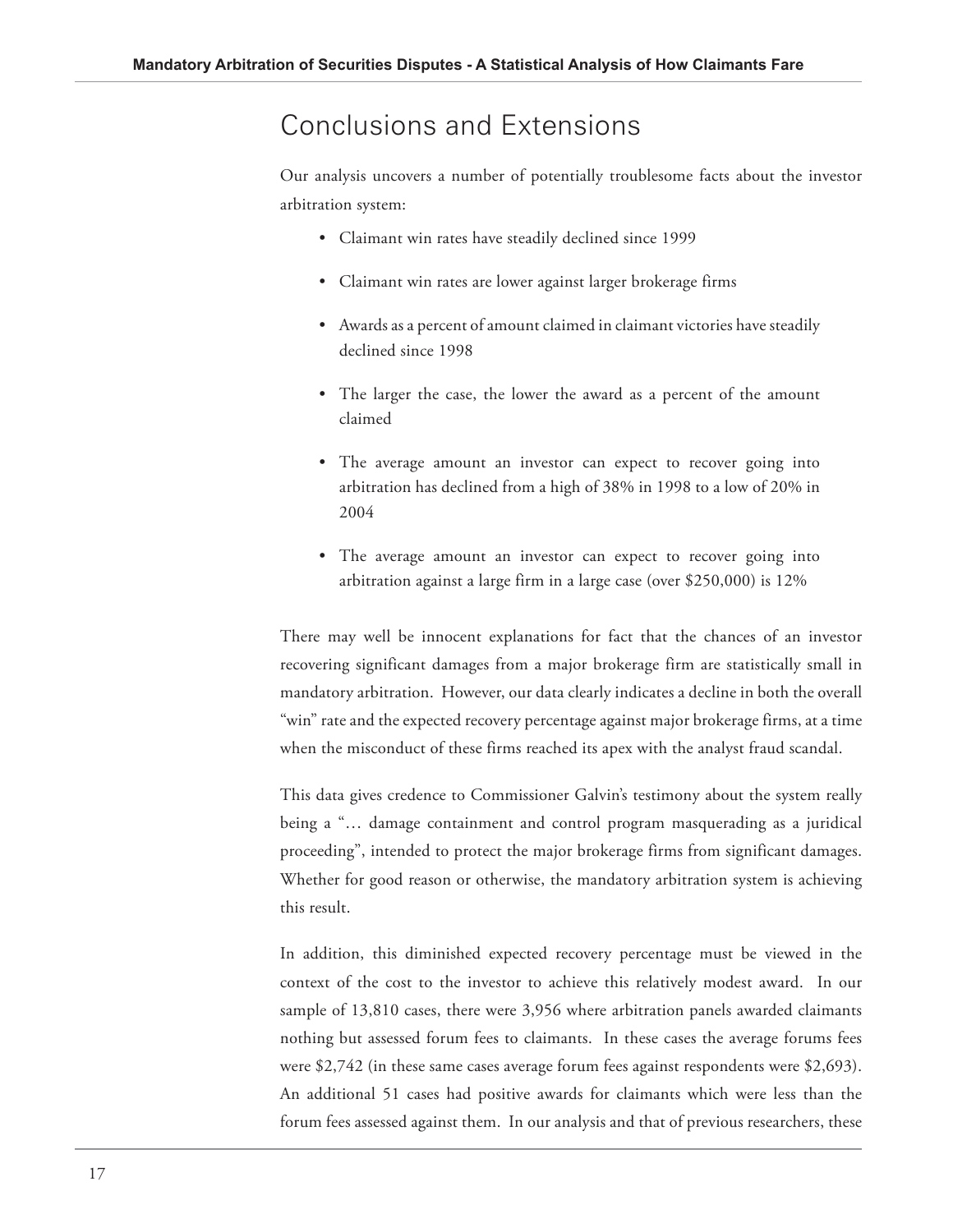#### Conclusions and Extensions

Our analysis uncovers a number of potentially troublesome facts about the investor arbitration system:

- Claimant win rates have steadily declined since 1999
- Claimant win rates are lower against larger brokerage firms
- Awards as a percent of amount claimed in claimant victories have steadily declined since 1998
- The larger the case, the lower the award as a percent of the amount claimed
- The average amount an investor can expect to recover going into arbitration has declined from a high of 38% in 1998 to a low of 20% in 2004
- The average amount an investor can expect to recover going into arbitration against a large firm in a large case (over \$250,000) is 12%

There may well be innocent explanations for fact that the chances of an investor recovering significant damages from a major brokerage firm are statistically small in mandatory arbitration. However, our data clearly indicates a decline in both the overall "win" rate and the expected recovery percentage against major brokerage firms, at a time when the misconduct of these firms reached its apex with the analyst fraud scandal.

This data gives credence to Commissioner Galvin's testimony about the system really being a "… damage containment and control program masquerading as a juridical proceeding", intended to protect the major brokerage firms from significant damages. Whether for good reason or otherwise, the mandatory arbitration system is achieving this result.

In addition, this diminished expected recovery percentage must be viewed in the context of the cost to the investor to achieve this relatively modest award. In our sample of 13,810 cases, there were 3,956 where arbitration panels awarded claimants nothing but assessed forum fees to claimants. In these cases the average forums fees were \$2,742 (in these same cases average forum fees against respondents were \$2,693). An additional 51 cases had positive awards for claimants which were less than the forum fees assessed against them. In our analysis and that of previous researchers, these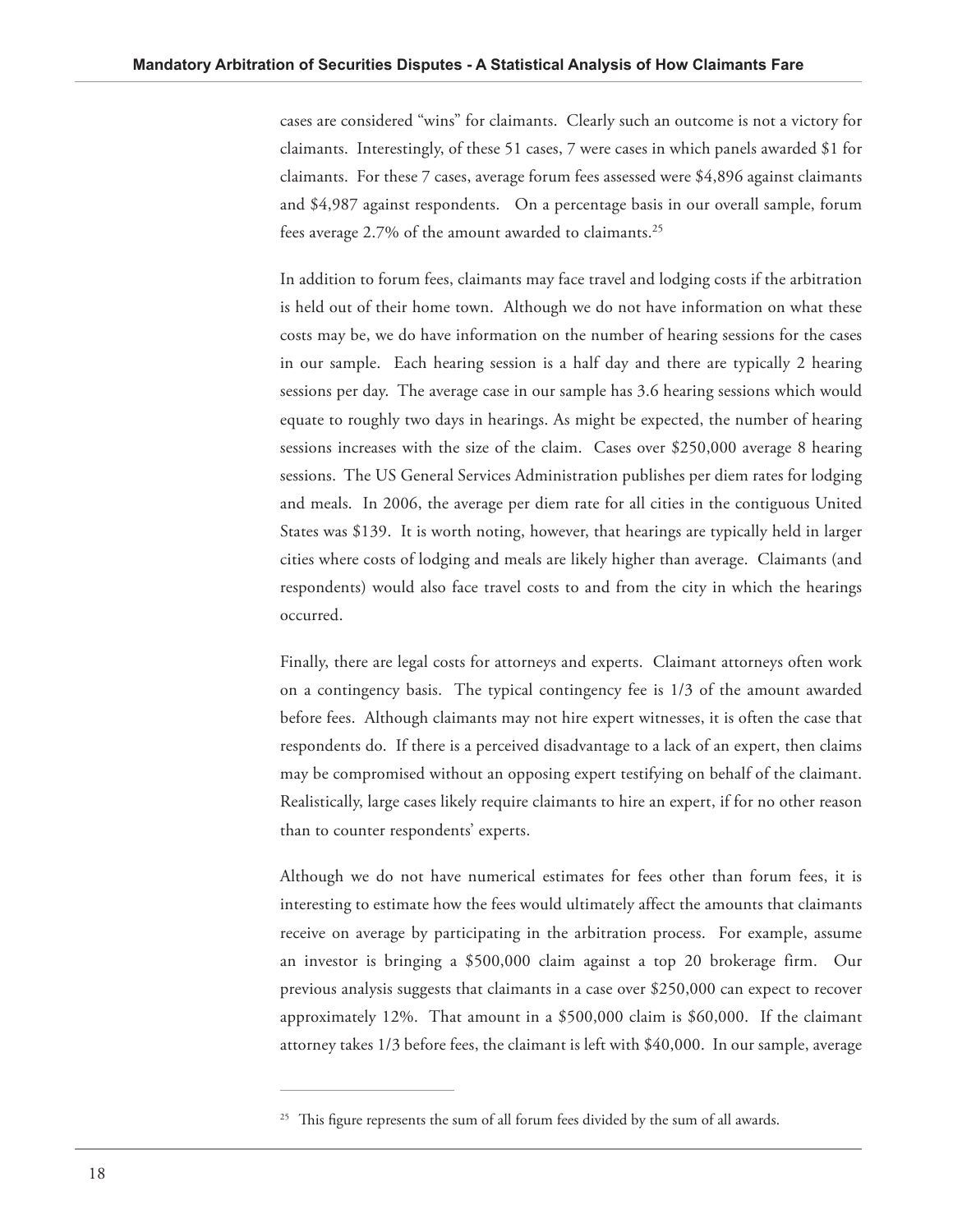cases are considered "wins" for claimants. Clearly such an outcome is not a victory for claimants. Interestingly, of these 51 cases, 7 were cases in which panels awarded \$1 for claimants. For these 7 cases, average forum fees assessed were \$4,896 against claimants and \$4,987 against respondents. On a percentage basis in our overall sample, forum fees average 2.7% of the amount awarded to claimants.<sup>25</sup>

In addition to forum fees, claimants may face travel and lodging costs if the arbitration is held out of their home town. Although we do not have information on what these costs may be, we do have information on the number of hearing sessions for the cases in our sample. Each hearing session is a half day and there are typically 2 hearing sessions per day. The average case in our sample has 3.6 hearing sessions which would equate to roughly two days in hearings. As might be expected, the number of hearing sessions increases with the size of the claim. Cases over \$250,000 average 8 hearing sessions. The US General Services Administration publishes per diem rates for lodging and meals. In 2006, the average per diem rate for all cities in the contiguous United States was \$139. It is worth noting, however, that hearings are typically held in larger cities where costs of lodging and meals are likely higher than average. Claimants (and respondents) would also face travel costs to and from the city in which the hearings occurred.

Finally, there are legal costs for attorneys and experts. Claimant attorneys often work on a contingency basis. The typical contingency fee is 1/3 of the amount awarded before fees. Although claimants may not hire expert witnesses, it is often the case that respondents do. If there is a perceived disadvantage to a lack of an expert, then claims may be compromised without an opposing expert testifying on behalf of the claimant. Realistically, large cases likely require claimants to hire an expert, if for no other reason than to counter respondents' experts.

Although we do not have numerical estimates for fees other than forum fees, it is interesting to estimate how the fees would ultimately affect the amounts that claimants receive on average by participating in the arbitration process. For example, assume an investor is bringing a \$500,000 claim against a top 20 brokerage firm. Our previous analysis suggests that claimants in a case over \$250,000 can expect to recover approximately 12%. That amount in a \$500,000 claim is \$60,000. If the claimant attorney takes 1/3 before fees, the claimant is left with \$40,000. In our sample, average

 $25$  This figure represents the sum of all forum fees divided by the sum of all awards.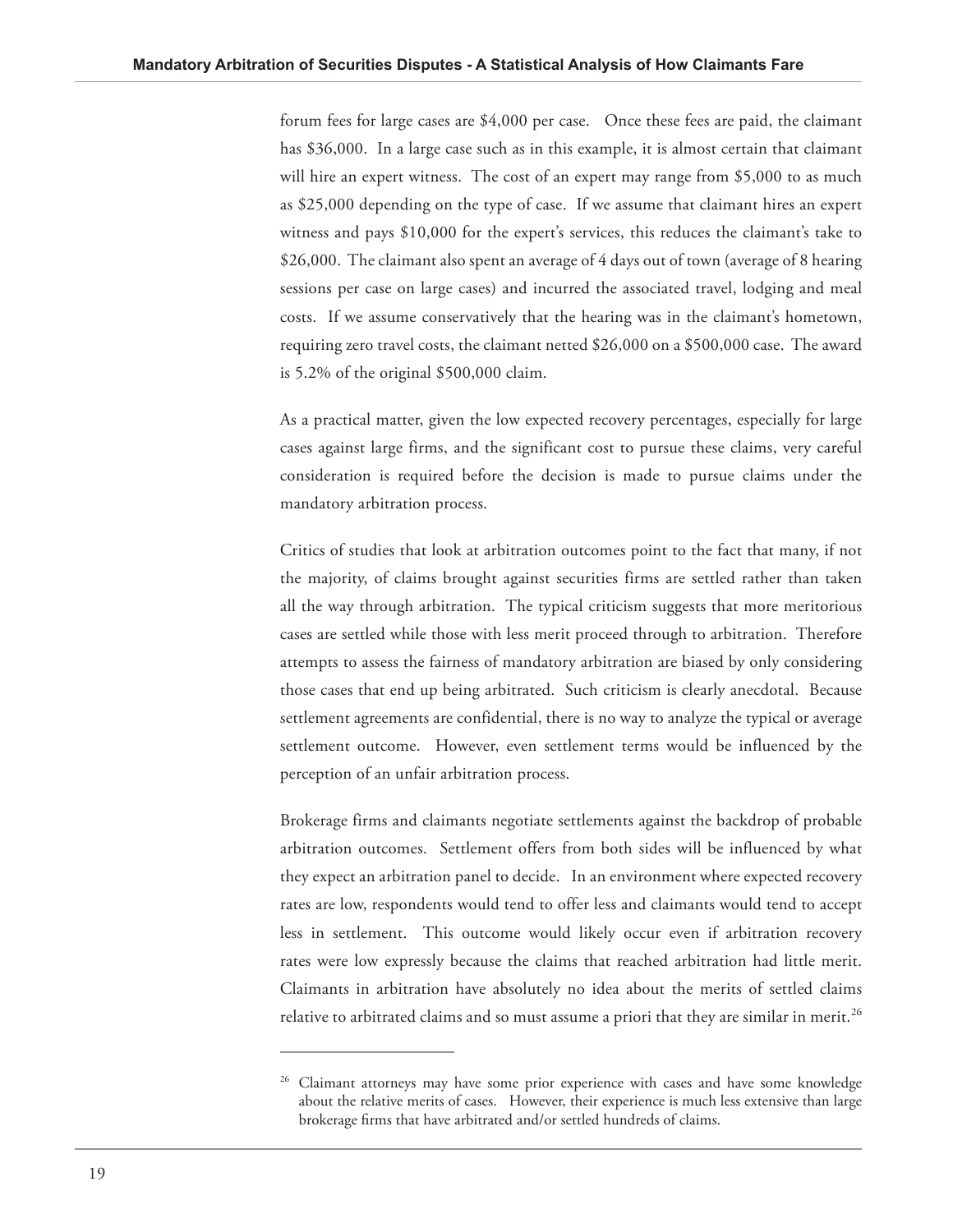forum fees for large cases are \$4,000 per case. Once these fees are paid, the claimant has \$36,000. In a large case such as in this example, it is almost certain that claimant will hire an expert witness. The cost of an expert may range from \$5,000 to as much as \$25,000 depending on the type of case. If we assume that claimant hires an expert witness and pays \$10,000 for the expert's services, this reduces the claimant's take to \$26,000. The claimant also spent an average of 4 days out of town (average of 8 hearing sessions per case on large cases) and incurred the associated travel, lodging and meal costs. If we assume conservatively that the hearing was in the claimant's hometown, requiring zero travel costs, the claimant netted \$26,000 on a \$500,000 case. The award is 5.2% of the original \$500,000 claim.

As a practical matter, given the low expected recovery percentages, especially for large cases against large firms, and the significant cost to pursue these claims, very careful consideration is required before the decision is made to pursue claims under the mandatory arbitration process.

Critics of studies that look at arbitration outcomes point to the fact that many, if not the majority, of claims brought against securities firms are settled rather than taken all the way through arbitration. The typical criticism suggests that more meritorious cases are settled while those with less merit proceed through to arbitration. Therefore attempts to assess the fairness of mandatory arbitration are biased by only considering those cases that end up being arbitrated. Such criticism is clearly anecdotal. Because settlement agreements are confidential, there is no way to analyze the typical or average settlement outcome. However, even settlement terms would be influenced by the perception of an unfair arbitration process.

Brokerage firms and claimants negotiate settlements against the backdrop of probable arbitration outcomes. Settlement offers from both sides will be influenced by what they expect an arbitration panel to decide. In an environment where expected recovery rates are low, respondents would tend to offer less and claimants would tend to accept less in settlement. This outcome would likely occur even if arbitration recovery rates were low expressly because the claims that reached arbitration had little merit. Claimants in arbitration have absolutely no idea about the merits of settled claims relative to arbitrated claims and so must assume a priori that they are similar in merit.<sup>26</sup>

<sup>&</sup>lt;sup>26</sup> Claimant attorneys may have some prior experience with cases and have some knowledge about the relative merits of cases. However, their experience is much less extensive than large brokerage firms that have arbitrated and/or settled hundreds of claims.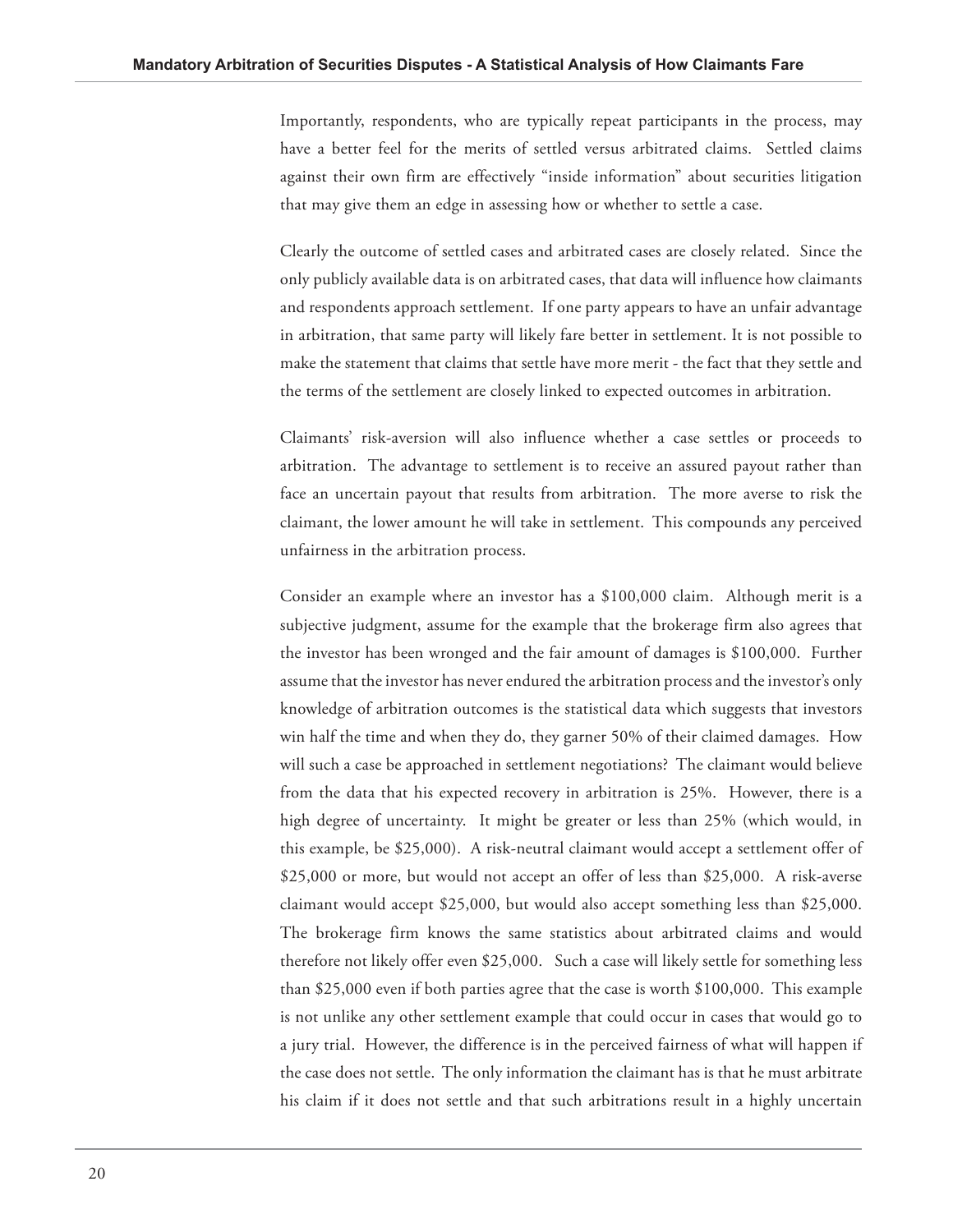Importantly, respondents, who are typically repeat participants in the process, may have a better feel for the merits of settled versus arbitrated claims. Settled claims against their own firm are effectively "inside information" about securities litigation that may give them an edge in assessing how or whether to settle a case.

Clearly the outcome of settled cases and arbitrated cases are closely related. Since the only publicly available data is on arbitrated cases, that data will influence how claimants and respondents approach settlement. If one party appears to have an unfair advantage in arbitration, that same party will likely fare better in settlement. It is not possible to make the statement that claims that settle have more merit - the fact that they settle and the terms of the settlement are closely linked to expected outcomes in arbitration.

Claimants' risk-aversion will also influence whether a case settles or proceeds to arbitration. The advantage to settlement is to receive an assured payout rather than face an uncertain payout that results from arbitration. The more averse to risk the claimant, the lower amount he will take in settlement. This compounds any perceived unfairness in the arbitration process.

Consider an example where an investor has a \$100,000 claim. Although merit is a subjective judgment, assume for the example that the brokerage firm also agrees that the investor has been wronged and the fair amount of damages is \$100,000. Further assume that the investor has never endured the arbitration process and the investor's only knowledge of arbitration outcomes is the statistical data which suggests that investors win half the time and when they do, they garner 50% of their claimed damages. How will such a case be approached in settlement negotiations? The claimant would believe from the data that his expected recovery in arbitration is 25%. However, there is a high degree of uncertainty. It might be greater or less than 25% (which would, in this example, be \$25,000). A risk-neutral claimant would accept a settlement offer of \$25,000 or more, but would not accept an offer of less than \$25,000. A risk-averse claimant would accept \$25,000, but would also accept something less than \$25,000. The brokerage firm knows the same statistics about arbitrated claims and would therefore not likely offer even \$25,000. Such a case will likely settle for something less than \$25,000 even if both parties agree that the case is worth \$100,000. This example is not unlike any other settlement example that could occur in cases that would go to a jury trial. However, the difference is in the perceived fairness of what will happen if the case does not settle. The only information the claimant has is that he must arbitrate his claim if it does not settle and that such arbitrations result in a highly uncertain